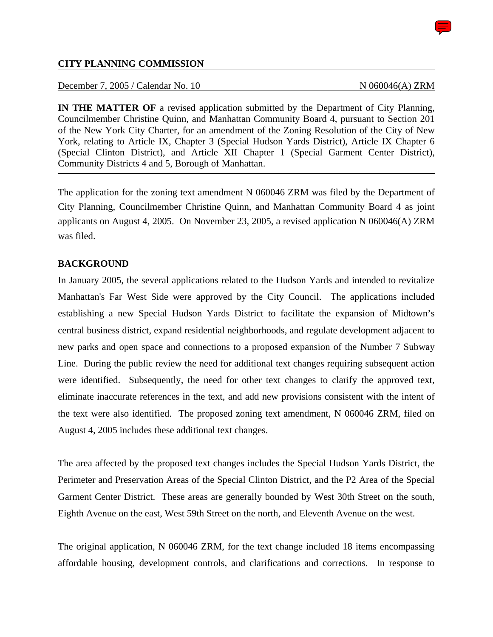#### **CITY PLANNING COMMISSION**

December 7, 2005 / Calendar No. 10 N 060046(A) ZRM

**IN THE MATTER OF** a revised application submitted by the Department of City Planning, Councilmember Christine Quinn, and Manhattan Community Board 4, pursuant to Section 201 of the New York City Charter, for an amendment of the Zoning Resolution of the City of New York, relating to Article IX, Chapter 3 (Special Hudson Yards District), Article IX Chapter 6 (Special Clinton District), and Article XII Chapter 1 (Special Garment Center District), Community Districts 4 and 5, Borough of Manhattan.

The application for the zoning text amendment N 060046 ZRM was filed by the Department of City Planning, Councilmember Christine Quinn, and Manhattan Community Board 4 as joint applicants on August 4, 2005. On November 23, 2005, a revised application N 060046(A) ZRM was filed.

#### **BACKGROUND**

In January 2005, the several applications related to the Hudson Yards and intended to revitalize Manhattan's Far West Side were approved by the City Council. The applications included establishing a new Special Hudson Yards District to facilitate the expansion of Midtown's central business district, expand residential neighborhoods, and regulate development adjacent to new parks and open space and connections to a proposed expansion of the Number 7 Subway Line. During the public review the need for additional text changes requiring subsequent action were identified. Subsequently, the need for other text changes to clarify the approved text, eliminate inaccurate references in the text, and add new provisions consistent with the intent of the text were also identified. The proposed zoning text amendment, N 060046 ZRM, filed on August 4, 2005 includes these additional text changes.

The area affected by the proposed text changes includes the Special Hudson Yards District, the Perimeter and Preservation Areas of the Special Clinton District, and the P2 Area of the Special Garment Center District. These areas are generally bounded by West 30th Street on the south, Eighth Avenue on the east, West 59th Street on the north, and Eleventh Avenue on the west.

The original application, N 060046 ZRM, for the text change included 18 items encompassing affordable housing, development controls, and clarifications and corrections. In response to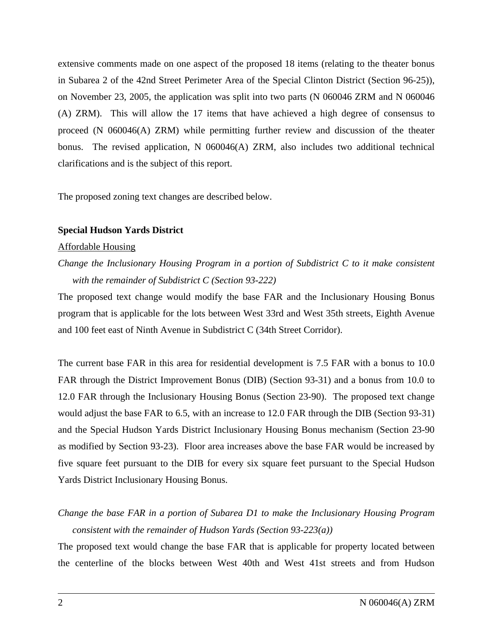extensive comments made on one aspect of the proposed 18 items (relating to the theater bonus in Subarea 2 of the 42nd Street Perimeter Area of the Special Clinton District (Section 96-25)), on November 23, 2005, the application was split into two parts (N 060046 ZRM and N 060046 (A) ZRM). This will allow the 17 items that have achieved a high degree of consensus to proceed (N 060046(A) ZRM) while permitting further review and discussion of the theater bonus. The revised application,  $N$  060046(A) ZRM, also includes two additional technical clarifications and is the subject of this report.

The proposed zoning text changes are described below.

#### **Special Hudson Yards District**

#### Affordable Housing

*Change the Inclusionary Housing Program in a portion of Subdistrict C to it make consistent with the remainder of Subdistrict C (Section 93-222)* 

The proposed text change would modify the base FAR and the Inclusionary Housing Bonus program that is applicable for the lots between West 33rd and West 35th streets, Eighth Avenue and 100 feet east of Ninth Avenue in Subdistrict C (34th Street Corridor).

The current base FAR in this area for residential development is 7.5 FAR with a bonus to 10.0 FAR through the District Improvement Bonus (DIB) (Section 93-31) and a bonus from 10.0 to 12.0 FAR through the Inclusionary Housing Bonus (Section 23-90). The proposed text change would adjust the base FAR to 6.5, with an increase to 12.0 FAR through the DIB (Section 93-31) and the Special Hudson Yards District Inclusionary Housing Bonus mechanism (Section 23-90 as modified by Section 93-23). Floor area increases above the base FAR would be increased by five square feet pursuant to the DIB for every six square feet pursuant to the Special Hudson Yards District Inclusionary Housing Bonus.

# *Change the base FAR in a portion of Subarea D1 to make the Inclusionary Housing Program consistent with the remainder of Hudson Yards (Section 93-223(a))*

The proposed text would change the base FAR that is applicable for property located between the centerline of the blocks between West 40th and West 41st streets and from Hudson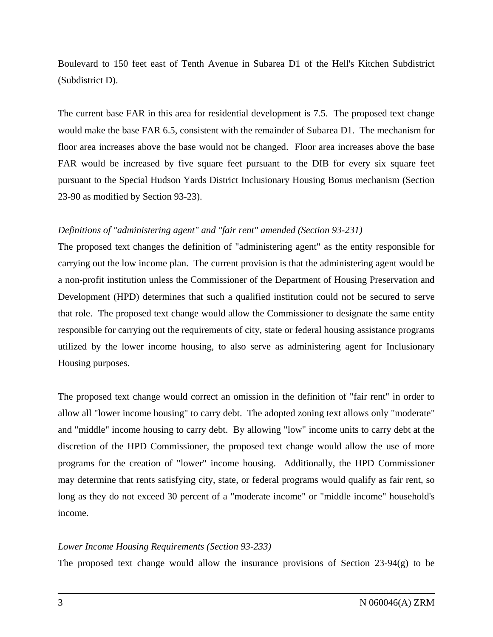Boulevard to 150 feet east of Tenth Avenue in Subarea D1 of the Hell's Kitchen Subdistrict (Subdistrict D).

The current base FAR in this area for residential development is 7.5. The proposed text change would make the base FAR 6.5, consistent with the remainder of Subarea D1. The mechanism for floor area increases above the base would not be changed. Floor area increases above the base FAR would be increased by five square feet pursuant to the DIB for every six square feet pursuant to the Special Hudson Yards District Inclusionary Housing Bonus mechanism (Section 23-90 as modified by Section 93-23).

#### *Definitions of "administering agent" and "fair rent" amended (Section 93-231)*

The proposed text changes the definition of "administering agent" as the entity responsible for carrying out the low income plan. The current provision is that the administering agent would be a non-profit institution unless the Commissioner of the Department of Housing Preservation and Development (HPD) determines that such a qualified institution could not be secured to serve that role. The proposed text change would allow the Commissioner to designate the same entity responsible for carrying out the requirements of city, state or federal housing assistance programs utilized by the lower income housing, to also serve as administering agent for Inclusionary Housing purposes.

The proposed text change would correct an omission in the definition of "fair rent" in order to allow all "lower income housing" to carry debt. The adopted zoning text allows only "moderate" and "middle" income housing to carry debt. By allowing "low" income units to carry debt at the discretion of the HPD Commissioner, the proposed text change would allow the use of more programs for the creation of "lower" income housing. Additionally, the HPD Commissioner may determine that rents satisfying city, state, or federal programs would qualify as fair rent, so long as they do not exceed 30 percent of a "moderate income" or "middle income" household's income.

#### *Lower Income Housing Requirements (Section 93-233)*

The proposed text change would allow the insurance provisions of Section 23-94(g) to be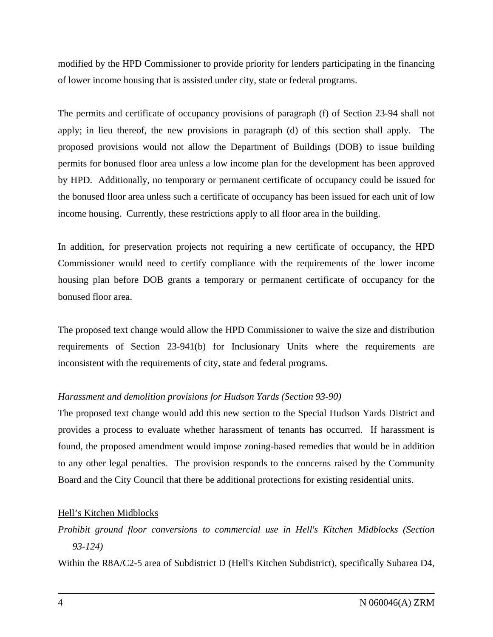modified by the HPD Commissioner to provide priority for lenders participating in the financing of lower income housing that is assisted under city, state or federal programs.

The permits and certificate of occupancy provisions of paragraph (f) of Section 23-94 shall not apply; in lieu thereof, the new provisions in paragraph (d) of this section shall apply. The proposed provisions would not allow the Department of Buildings (DOB) to issue building permits for bonused floor area unless a low income plan for the development has been approved by HPD. Additionally, no temporary or permanent certificate of occupancy could be issued for the bonused floor area unless such a certificate of occupancy has been issued for each unit of low income housing. Currently, these restrictions apply to all floor area in the building.

In addition, for preservation projects not requiring a new certificate of occupancy, the HPD Commissioner would need to certify compliance with the requirements of the lower income housing plan before DOB grants a temporary or permanent certificate of occupancy for the bonused floor area.

The proposed text change would allow the HPD Commissioner to waive the size and distribution requirements of Section 23-941(b) for Inclusionary Units where the requirements are inconsistent with the requirements of city, state and federal programs.

## *Harassment and demolition provisions for Hudson Yards (Section 93-90)*

The proposed text change would add this new section to the Special Hudson Yards District and provides a process to evaluate whether harassment of tenants has occurred. If harassment is found, the proposed amendment would impose zoning-based remedies that would be in addition to any other legal penalties. The provision responds to the concerns raised by the Community Board and the City Council that there be additional protections for existing residential units.

#### Hell's Kitchen Midblocks

*Prohibit ground floor conversions to commercial use in Hell's Kitchen Midblocks (Section 93-124)* 

Within the R8A/C2-5 area of Subdistrict D (Hell's Kitchen Subdistrict), specifically Subarea D4,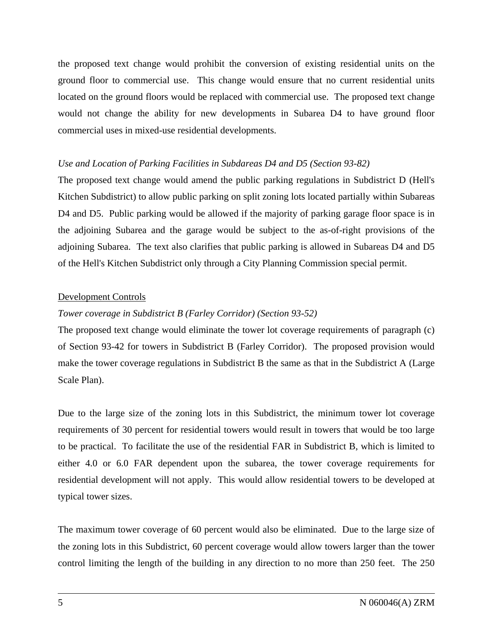the proposed text change would prohibit the conversion of existing residential units on the ground floor to commercial use. This change would ensure that no current residential units located on the ground floors would be replaced with commercial use. The proposed text change would not change the ability for new developments in Subarea D4 to have ground floor commercial uses in mixed-use residential developments.

#### *Use and Location of Parking Facilities in Subdareas D4 and D5 (Section 93-82)*

The proposed text change would amend the public parking regulations in Subdistrict D (Hell's Kitchen Subdistrict) to allow public parking on split zoning lots located partially within Subareas D4 and D5. Public parking would be allowed if the majority of parking garage floor space is in the adjoining Subarea and the garage would be subject to the as-of-right provisions of the adjoining Subarea. The text also clarifies that public parking is allowed in Subareas D4 and D5 of the Hell's Kitchen Subdistrict only through a City Planning Commission special permit.

#### Development Controls

# *Tower coverage in Subdistrict B (Farley Corridor) (Section 93-52)*

The proposed text change would eliminate the tower lot coverage requirements of paragraph (c) of Section 93-42 for towers in Subdistrict B (Farley Corridor). The proposed provision would make the tower coverage regulations in Subdistrict B the same as that in the Subdistrict A (Large Scale Plan).

Due to the large size of the zoning lots in this Subdistrict, the minimum tower lot coverage requirements of 30 percent for residential towers would result in towers that would be too large to be practical. To facilitate the use of the residential FAR in Subdistrict B, which is limited to either 4.0 or 6.0 FAR dependent upon the subarea, the tower coverage requirements for residential development will not apply. This would allow residential towers to be developed at typical tower sizes.

The maximum tower coverage of 60 percent would also be eliminated. Due to the large size of the zoning lots in this Subdistrict, 60 percent coverage would allow towers larger than the tower control limiting the length of the building in any direction to no more than 250 feet. The 250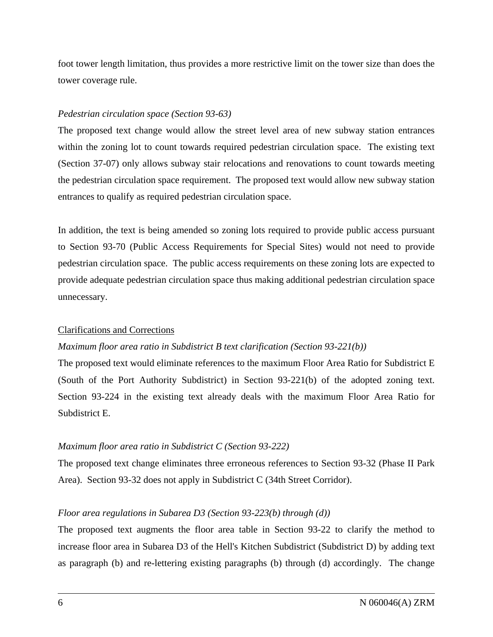foot tower length limitation, thus provides a more restrictive limit on the tower size than does the tower coverage rule.

#### *Pedestrian circulation space (Section 93-63)*

The proposed text change would allow the street level area of new subway station entrances within the zoning lot to count towards required pedestrian circulation space. The existing text (Section 37-07) only allows subway stair relocations and renovations to count towards meeting the pedestrian circulation space requirement. The proposed text would allow new subway station entrances to qualify as required pedestrian circulation space.

In addition, the text is being amended so zoning lots required to provide public access pursuant to Section 93-70 (Public Access Requirements for Special Sites) would not need to provide pedestrian circulation space. The public access requirements on these zoning lots are expected to provide adequate pedestrian circulation space thus making additional pedestrian circulation space unnecessary.

## Clarifications and Corrections

## *Maximum floor area ratio in Subdistrict B text clarification (Section 93-221(b))*

The proposed text would eliminate references to the maximum Floor Area Ratio for Subdistrict E (South of the Port Authority Subdistrict) in Section 93-221(b) of the adopted zoning text. Section 93-224 in the existing text already deals with the maximum Floor Area Ratio for Subdistrict E.

## *Maximum floor area ratio in Subdistrict C (Section 93-222)*

The proposed text change eliminates three erroneous references to Section 93-32 (Phase II Park Area). Section 93-32 does not apply in Subdistrict C (34th Street Corridor).

## *Floor area regulations in Subarea D3 (Section 93-223(b) through (d))*

The proposed text augments the floor area table in Section 93-22 to clarify the method to increase floor area in Subarea D3 of the Hell's Kitchen Subdistrict (Subdistrict D) by adding text as paragraph (b) and re-lettering existing paragraphs (b) through (d) accordingly. The change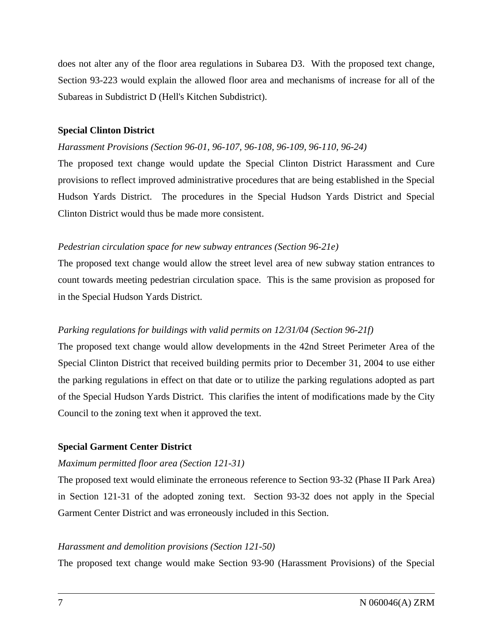does not alter any of the floor area regulations in Subarea D3. With the proposed text change, Section 93-223 would explain the allowed floor area and mechanisms of increase for all of the Subareas in Subdistrict D (Hell's Kitchen Subdistrict).

#### **Special Clinton District**

#### *Harassment Provisions (Section 96-01, 96-107, 96-108, 96-109, 96-110, 96-24)*

The proposed text change would update the Special Clinton District Harassment and Cure provisions to reflect improved administrative procedures that are being established in the Special Hudson Yards District. The procedures in the Special Hudson Yards District and Special Clinton District would thus be made more consistent.

#### *Pedestrian circulation space for new subway entrances (Section 96-21e)*

The proposed text change would allow the street level area of new subway station entrances to count towards meeting pedestrian circulation space. This is the same provision as proposed for in the Special Hudson Yards District.

## *Parking regulations for buildings with valid permits on 12/31/04 (Section 96-21f)*

The proposed text change would allow developments in the 42nd Street Perimeter Area of the Special Clinton District that received building permits prior to December 31, 2004 to use either the parking regulations in effect on that date or to utilize the parking regulations adopted as part of the Special Hudson Yards District. This clarifies the intent of modifications made by the City Council to the zoning text when it approved the text.

## **Special Garment Center District**

#### *Maximum permitted floor area (Section 121-31)*

The proposed text would eliminate the erroneous reference to Section 93-32 (Phase II Park Area) in Section 121-31 of the adopted zoning text. Section 93-32 does not apply in the Special Garment Center District and was erroneously included in this Section.

#### *Harassment and demolition provisions (Section 121-50)*

The proposed text change would make Section 93-90 (Harassment Provisions) of the Special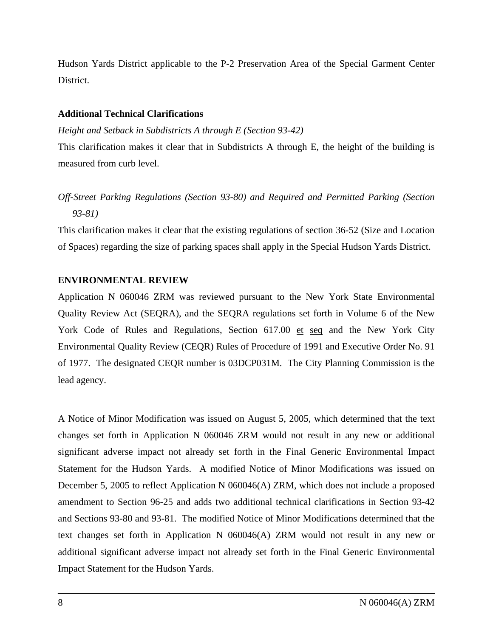Hudson Yards District applicable to the P-2 Preservation Area of the Special Garment Center District.

#### **Additional Technical Clarifications**

*Height and Setback in Subdistricts A through E (Section 93-42)* 

This clarification makes it clear that in Subdistricts A through E, the height of the building is measured from curb level.

# *Off-Street Parking Regulations (Section 93-80) and Required and Permitted Parking (Section 93-81)*

This clarification makes it clear that the existing regulations of section 36-52 (Size and Location of Spaces) regarding the size of parking spaces shall apply in the Special Hudson Yards District.

# **ENVIRONMENTAL REVIEW**

Application N 060046 ZRM was reviewed pursuant to the New York State Environmental Quality Review Act (SEQRA), and the SEQRA regulations set forth in Volume 6 of the New York Code of Rules and Regulations, Section 617.00 et seq and the New York City Environmental Quality Review (CEQR) Rules of Procedure of 1991 and Executive Order No. 91 of 1977. The designated CEQR number is 03DCP031M. The City Planning Commission is the lead agency.

A Notice of Minor Modification was issued on August 5, 2005, which determined that the text changes set forth in Application N 060046 ZRM would not result in any new or additional significant adverse impact not already set forth in the Final Generic Environmental Impact Statement for the Hudson Yards. A modified Notice of Minor Modifications was issued on December 5, 2005 to reflect Application N 060046(A) ZRM, which does not include a proposed amendment to Section 96-25 and adds two additional technical clarifications in Section 93-42 and Sections 93-80 and 93-81. The modified Notice of Minor Modifications determined that the text changes set forth in Application N 060046(A) ZRM would not result in any new or additional significant adverse impact not already set forth in the Final Generic Environmental Impact Statement for the Hudson Yards.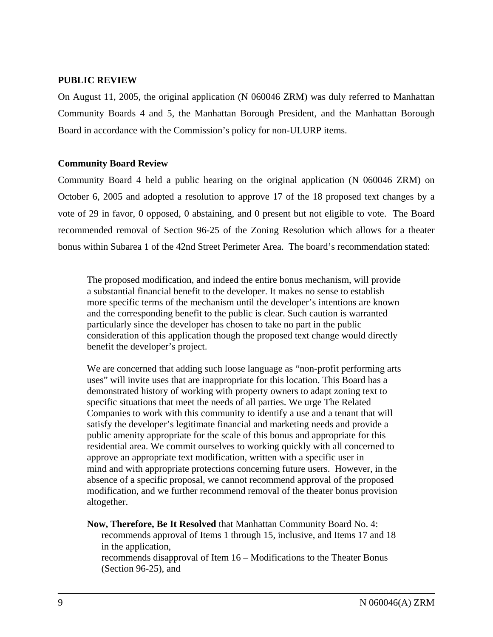#### **PUBLIC REVIEW**

On August 11, 2005, the original application (N 060046 ZRM) was duly referred to Manhattan Community Boards 4 and 5, the Manhattan Borough President, and the Manhattan Borough Board in accordance with the Commission's policy for non-ULURP items.

#### **Community Board Review**

Community Board 4 held a public hearing on the original application (N 060046 ZRM) on October 6, 2005 and adopted a resolution to approve 17 of the 18 proposed text changes by a vote of 29 in favor, 0 opposed, 0 abstaining, and 0 present but not eligible to vote. The Board recommended removal of Section 96-25 of the Zoning Resolution which allows for a theater bonus within Subarea 1 of the 42nd Street Perimeter Area. The board's recommendation stated:

The proposed modification, and indeed the entire bonus mechanism, will provide a substantial financial benefit to the developer. It makes no sense to establish more specific terms of the mechanism until the developer's intentions are known and the corresponding benefit to the public is clear. Such caution is warranted particularly since the developer has chosen to take no part in the public consideration of this application though the proposed text change would directly benefit the developer's project.

We are concerned that adding such loose language as "non-profit performing arts uses" will invite uses that are inappropriate for this location. This Board has a demonstrated history of working with property owners to adapt zoning text to specific situations that meet the needs of all parties. We urge The Related Companies to work with this community to identify a use and a tenant that will satisfy the developer's legitimate financial and marketing needs and provide a public amenity appropriate for the scale of this bonus and appropriate for this residential area. We commit ourselves to working quickly with all concerned to approve an appropriate text modification, written with a specific user in mind and with appropriate protections concerning future users. However, in the absence of a specific proposal, we cannot recommend approval of the proposed modification, and we further recommend removal of the theater bonus provision altogether.

**Now, Therefore, Be It Resolved** that Manhattan Community Board No. 4: recommends approval of Items 1 through 15, inclusive, and Items 17 and 18 in the application,

recommends disapproval of Item 16 – Modifications to the Theater Bonus (Section 96-25), and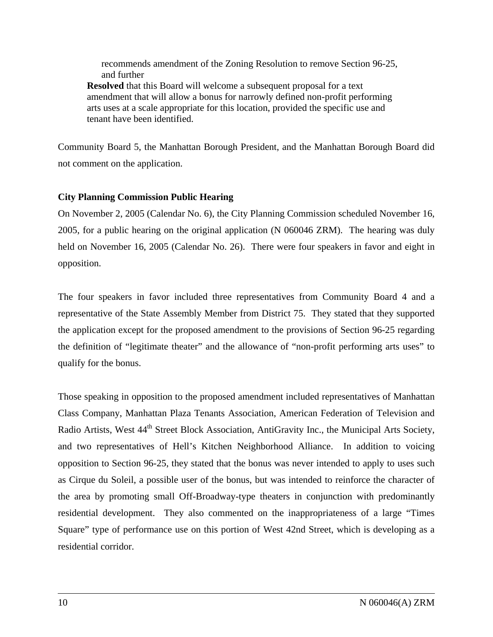recommends amendment of the Zoning Resolution to remove Section 96-25, and further **Resolved** that this Board will welcome a subsequent proposal for a text amendment that will allow a bonus for narrowly defined non-profit performing arts uses at a scale appropriate for this location, provided the specific use and tenant have been identified.

Community Board 5, the Manhattan Borough President, and the Manhattan Borough Board did not comment on the application.

#### **City Planning Commission Public Hearing**

On November 2, 2005 (Calendar No. 6), the City Planning Commission scheduled November 16, 2005, for a public hearing on the original application (N 060046 ZRM). The hearing was duly held on November 16, 2005 (Calendar No. 26). There were four speakers in favor and eight in opposition.

The four speakers in favor included three representatives from Community Board 4 and a representative of the State Assembly Member from District 75. They stated that they supported the application except for the proposed amendment to the provisions of Section 96-25 regarding the definition of "legitimate theater" and the allowance of "non-profit performing arts uses" to qualify for the bonus.

Those speaking in opposition to the proposed amendment included representatives of Manhattan Class Company, Manhattan Plaza Tenants Association, American Federation of Television and Radio Artists, West 44<sup>th</sup> Street Block Association, AntiGravity Inc., the Municipal Arts Society, and two representatives of Hell's Kitchen Neighborhood Alliance. In addition to voicing opposition to Section 96-25, they stated that the bonus was never intended to apply to uses such as Cirque du Soleil, a possible user of the bonus, but was intended to reinforce the character of the area by promoting small Off-Broadway-type theaters in conjunction with predominantly residential development. They also commented on the inappropriateness of a large "Times Square" type of performance use on this portion of West 42nd Street, which is developing as a residential corridor.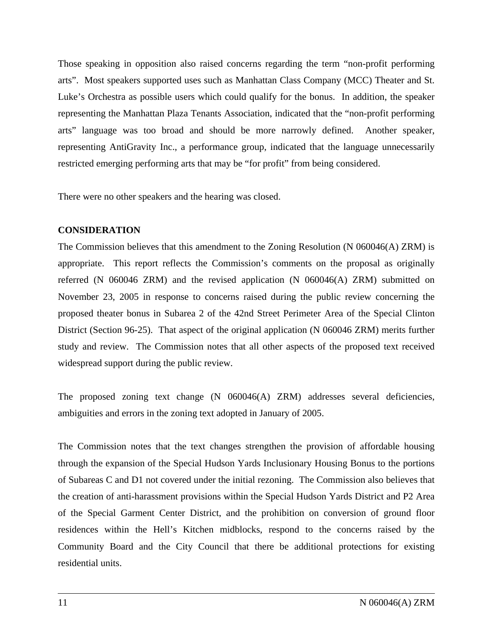Those speaking in opposition also raised concerns regarding the term "non-profit performing arts". Most speakers supported uses such as Manhattan Class Company (MCC) Theater and St. Luke's Orchestra as possible users which could qualify for the bonus. In addition, the speaker representing the Manhattan Plaza Tenants Association, indicated that the "non-profit performing arts" language was too broad and should be more narrowly defined. Another speaker, representing AntiGravity Inc., a performance group, indicated that the language unnecessarily restricted emerging performing arts that may be "for profit" from being considered.

There were no other speakers and the hearing was closed.

#### **CONSIDERATION**

The Commission believes that this amendment to the Zoning Resolution (N 060046(A) ZRM) is appropriate. This report reflects the Commission's comments on the proposal as originally referred (N 060046 ZRM) and the revised application (N 060046(A) ZRM) submitted on November 23, 2005 in response to concerns raised during the public review concerning the proposed theater bonus in Subarea 2 of the 42nd Street Perimeter Area of the Special Clinton District (Section 96-25). That aspect of the original application (N 060046 ZRM) merits further study and review. The Commission notes that all other aspects of the proposed text received widespread support during the public review.

The proposed zoning text change (N 060046(A) ZRM) addresses several deficiencies, ambiguities and errors in the zoning text adopted in January of 2005.

The Commission notes that the text changes strengthen the provision of affordable housing through the expansion of the Special Hudson Yards Inclusionary Housing Bonus to the portions of Subareas C and D1 not covered under the initial rezoning. The Commission also believes that the creation of anti-harassment provisions within the Special Hudson Yards District and P2 Area of the Special Garment Center District, and the prohibition on conversion of ground floor residences within the Hell's Kitchen midblocks, respond to the concerns raised by the Community Board and the City Council that there be additional protections for existing residential units.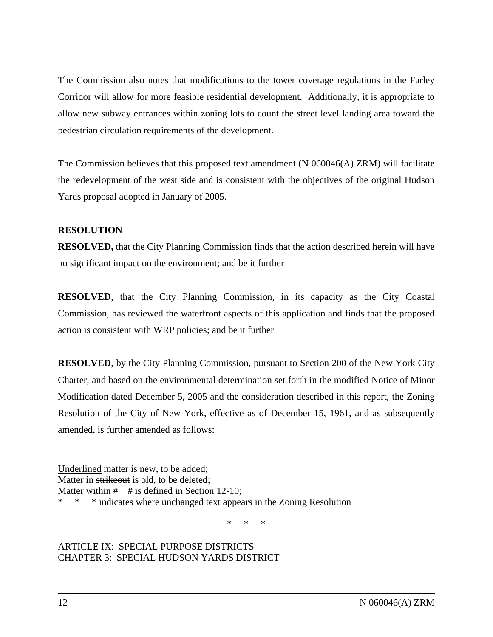The Commission also notes that modifications to the tower coverage regulations in the Farley Corridor will allow for more feasible residential development. Additionally, it is appropriate to allow new subway entrances within zoning lots to count the street level landing area toward the pedestrian circulation requirements of the development.

The Commission believes that this proposed text amendment (N 060046(A) ZRM) will facilitate the redevelopment of the west side and is consistent with the objectives of the original Hudson Yards proposal adopted in January of 2005.

## **RESOLUTION**

**RESOLVED,** that the City Planning Commission finds that the action described herein will have no significant impact on the environment; and be it further

**RESOLVED**, that the City Planning Commission, in its capacity as the City Coastal Commission, has reviewed the waterfront aspects of this application and finds that the proposed action is consistent with WRP policies; and be it further

**RESOLVED**, by the City Planning Commission, pursuant to Section 200 of the New York City Charter, and based on the environmental determination set forth in the modified Notice of Minor Modification dated December 5, 2005 and the consideration described in this report, the Zoning Resolution of the City of New York, effective as of December 15, 1961, and as subsequently amended, is further amended as follows:

Underlined matter is new, to be added; Matter in strike out is old, to be deleted; Matter within  $\#$  # is defined in Section 12-10; \* \* \* indicates where unchanged text appears in the Zoning Resolution

\* \* \*

#### ARTICLE IX: SPECIAL PURPOSE DISTRICTS CHAPTER 3: SPECIAL HUDSON YARDS DISTRICT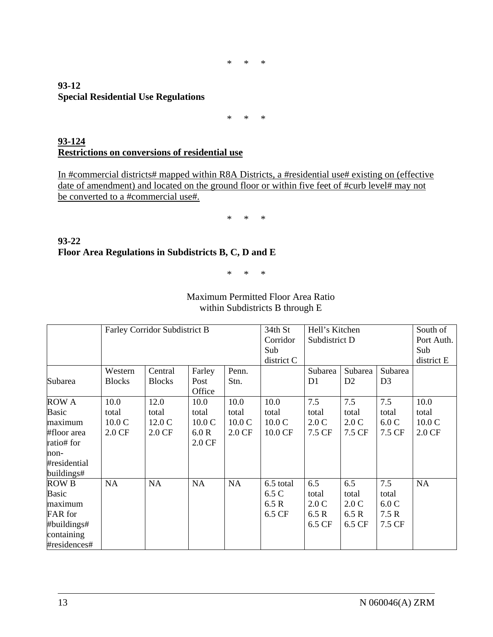\* \* \*

#### **93-12 Special Residential Use Regulations**

\* \* \*

## **93-124 Restrictions on conversions of residential use**

In #commercial districts# mapped within R8A Districts, a #residential use# existing on (effective date of amendment) and located on the ground floor or within five feet of #curb level# may not be converted to a #commercial use#.

\* \* \*

## **93-22 Floor Area Regulations in Subdistricts B, C, D and E**

\* \* \*

|              | Farley Corridor Subdistrict B |               |                  |           | 34th St    | Hell's Kitchen<br>Subdistrict D |                |                | South of         |
|--------------|-------------------------------|---------------|------------------|-----------|------------|---------------------------------|----------------|----------------|------------------|
|              |                               |               |                  |           | Corridor   |                                 |                |                | Port Auth.       |
|              |                               |               |                  |           | Sub        |                                 |                |                | Sub              |
|              |                               |               |                  |           | district C |                                 | district E     |                |                  |
|              | Western                       | Central       | Farley           | Penn.     |            | Subarea                         | Subarea        | Subarea        |                  |
| Subarea      | <b>Blocks</b>                 | <b>Blocks</b> | Post             | Stn.      |            | D1                              | D <sub>2</sub> | D <sub>3</sub> |                  |
|              |                               |               | Office           |           |            |                                 |                |                |                  |
| <b>ROW A</b> | 10.0                          | 12.0          | 10.0             | 10.0      | 10.0       | 7.5                             | 7.5            | 7.5            | 10.0             |
| Basic        | total                         | total         | total            | total     | total      | total                           | total          | total          | total            |
| maximum      | 10.0C                         | 12.0 C        | 10.0C            | 10.0C     | 10.0C      | 2.0C                            | 2.0C           | 6.0C           | 10.0C            |
| #floor area  | 2.0 CF                        | 2.0 CF        | 6.0R             | 2.0 CF    | 10.0 CF    | 7.5 CF                          | 7.5 CF         | 7.5 CF         | $2.0 \text{ CF}$ |
| ratio# for   |                               |               | $2.0 \text{ CF}$ |           |            |                                 |                |                |                  |
| non-         |                               |               |                  |           |            |                                 |                |                |                  |
| #residential |                               |               |                  |           |            |                                 |                |                |                  |
| buildings#   |                               |               |                  |           |            |                                 |                |                |                  |
| <b>ROW B</b> | <b>NA</b>                     | <b>NA</b>     | <b>NA</b>        | <b>NA</b> | 6.5 total  | 6.5                             | 6.5            | 7.5            | NA               |
| Basic        |                               |               |                  |           | 6.5 C      | total                           | total          | total          |                  |
| maximum      |                               |               |                  |           | 6.5 R      | 2.0C                            | 2.0C           | 6.0C           |                  |
| FAR for      |                               |               |                  |           | 6.5 CF     | 6.5R                            | 6.5 R          | 7.5R           |                  |
| #buildings#  |                               |               |                  |           |            | 6.5 CF                          | 6.5 CF         | 7.5 CF         |                  |
| containing   |                               |               |                  |           |            |                                 |                |                |                  |
| #residences# |                               |               |                  |           |            |                                 |                |                |                  |

Maximum Permitted Floor Area Ratio within Subdistricts B through E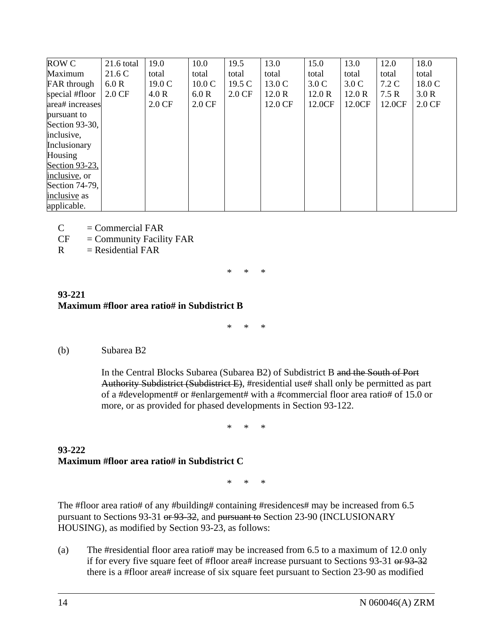| <b>ROW C</b>       | $21.6$ total     | 19.0             | 10.0             | 19.5             | 13.0    | 15.0             | 13.0   | 12.0   | 18.0             |
|--------------------|------------------|------------------|------------------|------------------|---------|------------------|--------|--------|------------------|
| Maximum            | 21.6 C           | total            | total            | total            | total   | total            | total  | total  | total            |
| <b>FAR</b> through | 6.0R             | 19.0 C           | 10.0C            | 19.5 C           | 13.0 C  | 3.0 <sub>C</sub> | 3.0 C  | 7.2 C  | 18.0 C           |
| special #floor     | $2.0 \text{ CF}$ | 4.0R             | 6.0R             | $2.0 \text{ CF}$ | 12.0R   | 12.0R            | 12.0R  | 7.5R   | 3.0 R            |
| area# increases    |                  | $2.0 \text{ CF}$ | $2.0 \text{ CF}$ |                  | 12.0 CF | 12.0CF           | 12.0CF | 12.0CF | $2.0 \text{ CF}$ |
| pursuant to        |                  |                  |                  |                  |         |                  |        |        |                  |
| Section 93-30,     |                  |                  |                  |                  |         |                  |        |        |                  |
| inclusive,         |                  |                  |                  |                  |         |                  |        |        |                  |
| Inclusionary       |                  |                  |                  |                  |         |                  |        |        |                  |
| Housing            |                  |                  |                  |                  |         |                  |        |        |                  |
| Section 93-23,     |                  |                  |                  |                  |         |                  |        |        |                  |
| inclusive, or      |                  |                  |                  |                  |         |                  |        |        |                  |
| Section 74-79,     |                  |                  |                  |                  |         |                  |        |        |                  |
| inclusive as       |                  |                  |                  |                  |         |                  |        |        |                  |
| applicable.        |                  |                  |                  |                  |         |                  |        |        |                  |

 $C = Commercial FAR$ 

 $CF = Community Facility FAR$ 

 $R = Residental FAR$ 

\* \* \*

#### **93-221 Maximum #floor area ratio# in Subdistrict B**

\* \* \*

## (b) Subarea B2

In the Central Blocks Subarea (Subarea B2) of Subdistrict B and the South of Port Authority Subdistrict (Subdistrict E), #residential use# shall only be permitted as part of a #development# or #enlargement# with a #commercial floor area ratio# of 15.0 or more, or as provided for phased developments in Section 93-122.

\* \* \*

## **93-222 Maximum #floor area ratio# in Subdistrict C**

\* \* \*

The #floor area ratio# of any #building# containing #residences# may be increased from 6.5 pursuant to Sections 93-31 or 93-32, and pursuant to Section 23-90 (INCLUSIONARY HOUSING), as modified by Section 93-23, as follows:

(a) The #residential floor area ratio# may be increased from 6.5 to a maximum of 12.0 only if for every five square feet of #floor area# increase pursuant to Sections 93-31 or 93-32 there is a #floor area# increase of six square feet pursuant to Section 23-90 as modified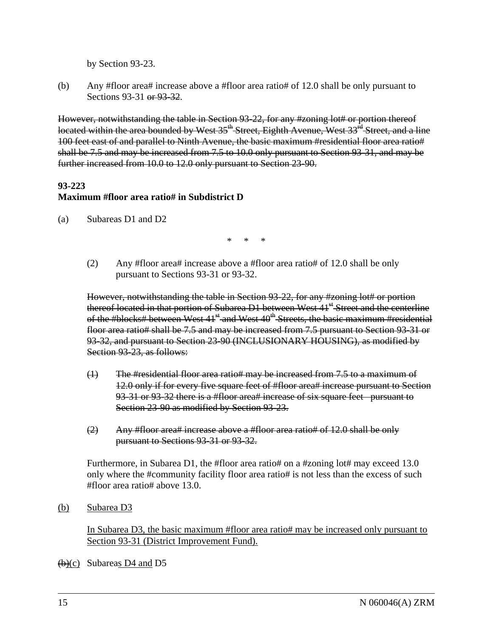by Section 93-23.

(b) Any #floor area# increase above a #floor area ratio# of 12.0 shall be only pursuant to Sections 93-31 or 93-32.

However, notwithstanding the table in Section 93-22, for any #zoning lot# or portion thereof located within the area bounded by West 35<sup>th</sup> Street, Eighth Avenue, West 33<sup>rd</sup> Street, and a line 100 feet east of and parallel to Ninth Avenue, the basic maximum #residential floor area ratio# shall be 7.5 and may be increased from 7.5 to 10.0 only pursuant to Section 93-31, and may be further increased from 10.0 to 12.0 only pursuant to Section 23-90.

#### **93-223**

# **Maximum #floor area ratio# in Subdistrict D**

(a) Subareas D1 and D2

\* \* \*

 (2) Any #floor area# increase above a #floor area ratio# of 12.0 shall be only pursuant to Sections 93-31 or 93-32.

However, notwithstanding the table in Section 93-22, for any #zoning lot# or portion thereof located in that portion of Subarea D1 between West 41<sup>st</sup> Street and the centerline of the #blocks# between West 41<sup>st</sup> and West 40<sup>th</sup> Streets, the basic maximum #residential floor area ratio# shall be 7.5 and may be increased from 7.5 pursuant to Section 93-31 or 93-32, and pursuant to Section 23-90 (INCLUSIONARY HOUSING), as modified by Section 93-23, as follows:

- (1) The #residential floor area ratio# may be increased from 7.5 to a maximum of 12.0 only if for every five square feet of #floor area# increase pursuant to Section 93-31 or 93-32 there is a #floor area# increase of six square feet pursuant to Section 23-90 as modified by Section 93-23.
- (2) Any #floor area# increase above a #floor area ratio# of 12.0 shall be only pursuant to Sections 93-31 or 93-32.

Furthermore, in Subarea D1, the #floor area ratio# on a #zoning lot# may exceed 13.0 only where the #community facility floor area ratio# is not less than the excess of such #floor area ratio# above 13.0.

(b) Subarea D3

In Subarea D3, the basic maximum #floor area ratio# may be increased only pursuant to Section 93-31 (District Improvement Fund).

 $(b)(c)$  Subareas D4 and D5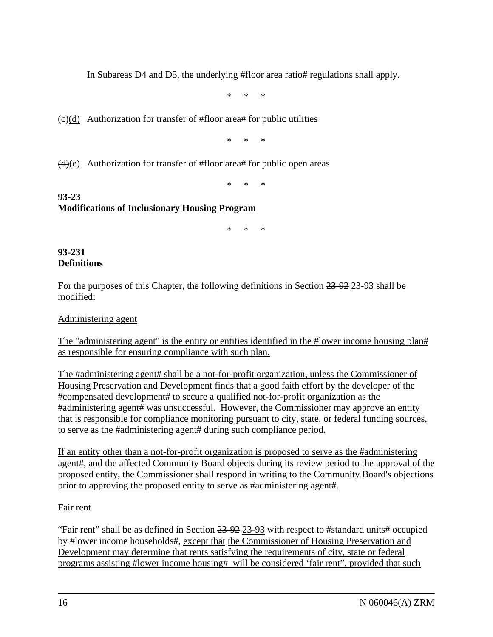In Subareas D4 and D5, the underlying #floor area ratio# regulations shall apply.

\* \* \*

 $\left(\frac{e}{d}\right)$  Authorization for transfer of #floor area# for public utilities

\* \* \*

 $(d)(e)$  Authorization for transfer of #floor area# for public open areas

\* \* \*

# **93-23 Modifications of Inclusionary Housing Program**

\* \* \*

#### **93-231 Definitions**

For the purposes of this Chapter, the following definitions in Section 23-92 23-93 shall be modified:

Administering agent

The "administering agent" is the entity or entities identified in the #lower income housing plan# as responsible for ensuring compliance with such plan.

The #administering agent# shall be a not-for-profit organization, unless the Commissioner of Housing Preservation and Development finds that a good faith effort by the developer of the #compensated development# to secure a qualified not-for-profit organization as the #administering agent# was unsuccessful. However, the Commissioner may approve an entity that is responsible for compliance monitoring pursuant to city, state, or federal funding sources, to serve as the #administering agent# during such compliance period*.*

If an entity other than a not-for-profit organization is proposed to serve as the #administering agent#, and the affected Community Board objects during its review period to the approval of the proposed entity, the Commissioner shall respond in writing to the Community Board's objections prior to approving the proposed entity to serve as #administering agent#.

## Fair rent

"Fair rent" shall be as defined in Section 23-92 23-93 with respect to #standard units# occupied by #lower income households#, except that the Commissioner of Housing Preservation and Development may determine that rents satisfying the requirements of city, state or federal programs assisting #lower income housing# will be considered 'fair rent", provided that such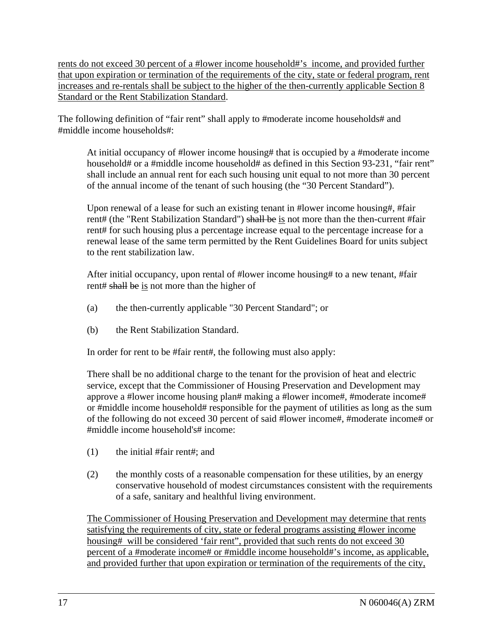rents do not exceed 30 percent of a #lower income household#'s income, and provided further that upon expiration or termination of the requirements of the city, state or federal program, rent increases and re-rentals shall be subject to the higher of the then-currently applicable Section 8 Standard or the Rent Stabilization Standard.

The following definition of "fair rent" shall apply to #moderate income households# and #middle income households#:

At initial occupancy of #lower income housing# that is occupied by a #moderate income household# or a #middle income household# as defined in this Section 93-231, "fair rent" shall include an annual rent for each such housing unit equal to not more than 30 percent of the annual income of the tenant of such housing (the "30 Percent Standard").

Upon renewal of a lease for such an existing tenant in #lower income housing#, #fair rent# (the "Rent Stabilization Standard") shall be is not more than the then-current #fair rent# for such housing plus a percentage increase equal to the percentage increase for a renewal lease of the same term permitted by the Rent Guidelines Board for units subject to the rent stabilization law.

After initial occupancy, upon rental of #lower income housing# to a new tenant, #fair rent# shall be is not more than the higher of

- (a) the then-currently applicable "30 Percent Standard"; or
- (b) the Rent Stabilization Standard.

In order for rent to be #fair rent#, the following must also apply:

There shall be no additional charge to the tenant for the provision of heat and electric service, except that the Commissioner of Housing Preservation and Development may approve a #lower income housing plan# making a #lower income#, #moderate income# or #middle income household# responsible for the payment of utilities as long as the sum of the following do not exceed 30 percent of said #lower income#, #moderate income# or #middle income household's# income:

- (1) the initial #fair rent#; and
- (2) the monthly costs of a reasonable compensation for these utilities, by an energy conservative household of modest circumstances consistent with the requirements of a safe, sanitary and healthful living environment.

The Commissioner of Housing Preservation and Development may determine that rents satisfying the requirements of city, state or federal programs assisting #lower income housing# will be considered 'fair rent'', provided that such rents do not exceed 30 percent of a #moderate income# or #middle income household#'s income, as applicable, and provided further that upon expiration or termination of the requirements of the city,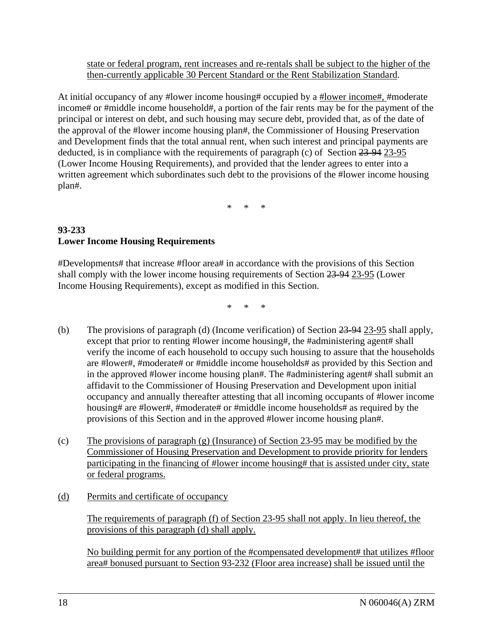state or federal program, rent increases and re-rentals shall be subject to the higher of the then-currently applicable 30 Percent Standard or the Rent Stabilization Standard.

At initial occupancy of any #lower income housing# occupied by a #lower income#, #moderate income# or #middle income household#, a portion of the fair rents may be for the payment of the principal or interest on debt, and such housing may secure debt, provided that, as of the date of the approval of the #lower income housing plan#, the Commissioner of Housing Preservation and Development finds that the total annual rent, when such interest and principal payments are deducted, is in compliance with the requirements of paragraph (c) of Section 23-94 23-95 (Lower Income Housing Requirements), and provided that the lender agrees to enter into a written agreement which subordinates such debt to the provisions of the #lower income housing plan#.

\* \* \*

# **93-233 Lower Income Housing Requirements**

#Developments# that increase #floor area# in accordance with the provisions of this Section shall comply with the lower income housing requirements of Section 23-94 23-95 (Lower Income Housing Requirements), except as modified in this Section.

\* \* \*

- (b) The provisions of paragraph (d) (Income verification) of Section 23-94 23-95 shall apply, except that prior to renting #lower income housing#, the #administering agent# shall verify the income of each household to occupy such housing to assure that the households are #lower#, #moderate# or #middle income households# as provided by this Section and in the approved #lower income housing plan#. The #administering agent# shall submit an affidavit to the Commissioner of Housing Preservation and Development upon initial occupancy and annually thereafter attesting that all incoming occupants of #lower income housing# are #lower#, #moderate# or #middle income households# as required by the provisions of this Section and in the approved #lower income housing plan#.
- (c) The provisions of paragraph (g) (Insurance) of Section 23-95 may be modified by the Commissioner of Housing Preservation and Development to provide priority for lenders participating in the financing of #lower income housing# that is assisted under city, state or federal programs.
- (d) Permits and certificate of occupancy

 The requirements of paragraph (f) of Section 23-95 shall not apply. In lieu thereof, the provisions of this paragraph (d) shall apply.

No building permit for any portion of the #compensated development# that utilizes #floor area# bonused pursuant to Section 93-232 (Floor area increase) shall be issued until the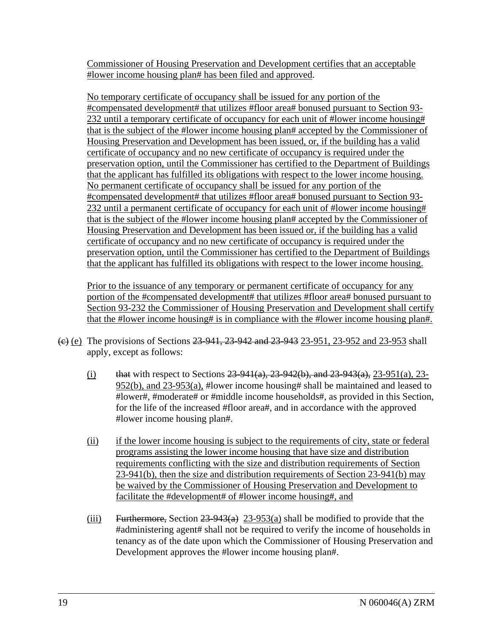Commissioner of Housing Preservation and Development certifies that an acceptable #lower income housing plan# has been filed and approved.

 No temporary certificate of occupancy shall be issued for any portion of the #compensated development# that utilizes #floor area# bonused pursuant to Section 93- 232 until a temporary certificate of occupancy for each unit of #lower income housing# that is the subject of the #lower income housing plan# accepted by the Commissioner of Housing Preservation and Development has been issued, or, if the building has a valid certificate of occupancy and no new certificate of occupancy is required under the preservation option, until the Commissioner has certified to the Department of Buildings that the applicant has fulfilled its obligations with respect to the lower income housing. No permanent certificate of occupancy shall be issued for any portion of the #compensated development# that utilizes #floor area# bonused pursuant to Section 93- 232 until a permanent certificate of occupancy for each unit of #lower income housing# that is the subject of the #lower income housing plan# accepted by the Commissioner of Housing Preservation and Development has been issued or, if the building has a valid certificate of occupancy and no new certificate of occupancy is required under the preservation option, until the Commissioner has certified to the Department of Buildings that the applicant has fulfilled its obligations with respect to the lower income housing.

 Prior to the issuance of any temporary or permanent certificate of occupancy for any portion of the #compensated development# that utilizes #floor area# bonused pursuant to Section 93-232 the Commissioner of Housing Preservation and Development shall certify that the #lower income housing# is in compliance with the #lower income housing plan#.

- (e) (e) The provisions of Sections 23-941, 23-942 and 23-943 23-951, 23-952 and 23-953 shall apply, except as follows:
	- (i) that with respect to Sections  $23-941(a)$ ,  $23-942(b)$ , and  $23-943(a)$ ,  $23-951(a)$ ,  $23-951(a)$ 952(b), and 23-953(a), #lower income housing# shall be maintained and leased to #lower#, #moderate# or #middle income households#, as provided in this Section, for the life of the increased #floor area#, and in accordance with the approved #lower income housing plan#.
	- (ii) if the lower income housing is subject to the requirements of city, state or federal programs assisting the lower income housing that have size and distribution requirements conflicting with the size and distribution requirements of Section 23-941(b), then the size and distribution requirements of Section 23-941(b) may be waived by the Commissioner of Housing Preservation and Development to facilitate the #development# of #lower income housing#, and
	- (iii) Furthermore, Section  $23-943(a)$  23-953(a) shall be modified to provide that the #administering agent# shall not be required to verify the income of households in tenancy as of the date upon which the Commissioner of Housing Preservation and Development approves the #lower income housing plan#.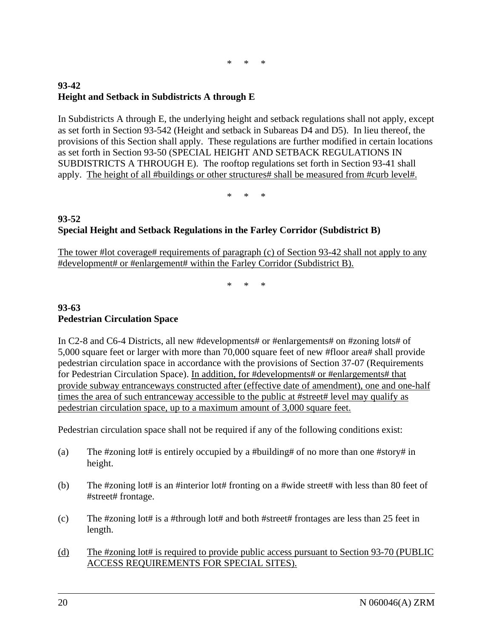$*$  \*

# **93-42 Height and Setback in Subdistricts A through E**

In Subdistricts A through E, the underlying height and setback regulations shall not apply, except as set forth in Section 93-542 (Height and setback in Subareas D4 and D5). In lieu thereof, the provisions of this Section shall apply. These regulations are further modified in certain locations as set forth in Section 93-50 (SPECIAL HEIGHT AND SETBACK REGULATIONS IN SUBDISTRICTS A THROUGH E). The rooftop regulations set forth in Section 93-41 shall apply. The height of all #buildings or other structures# shall be measured from #curb level#.

\* \* \*

# **93-52 Special Height and Setback Regulations in the Farley Corridor (Subdistrict B)**

The tower #lot coverage# requirements of paragraph (c) of Section 93-42 shall not apply to any #development# or #enlargement# within the Farley Corridor (Subdistrict B).

\* \* \*

## **93-63 Pedestrian Circulation Space**

In C2-8 and C6-4 Districts, all new #developments# or #enlargements# on #zoning lots# of 5,000 square feet or larger with more than 70,000 square feet of new #floor area# shall provide pedestrian circulation space in accordance with the provisions of Section 37-07 (Requirements for Pedestrian Circulation Space). In addition, for #developments# or #enlargements# that provide subway entranceways constructed after (effective date of amendment), one and one-half times the area of such entranceway accessible to the public at #street# level may qualify as pedestrian circulation space, up to a maximum amount of 3,000 square feet.

Pedestrian circulation space shall not be required if any of the following conditions exist:

- (a) The #zoning lot# is entirely occupied by a #building# of no more than one #story# in height.
- (b) The #zoning lot# is an #interior lot# fronting on a #wide street# with less than 80 feet of #street# frontage.
- (c) The #zoning lot# is a #through lot# and both #street# frontages are less than 25 feet in length.
- (d) The #zoning lot# is required to provide public access pursuant to Section 93-70 (PUBLIC ACCESS REQUIREMENTS FOR SPECIAL SITES).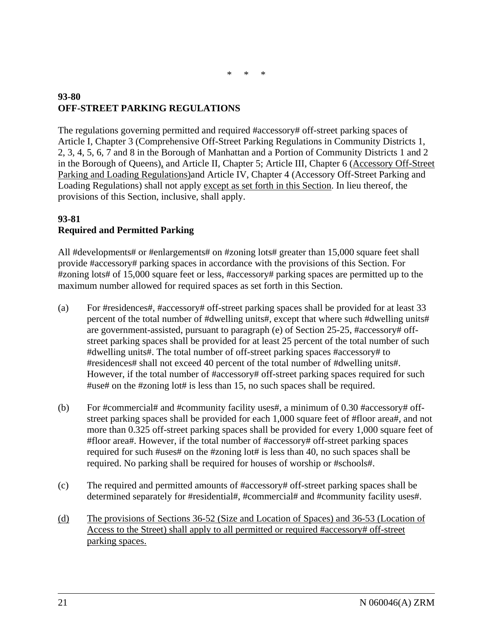# **93-80 OFF-STREET PARKING REGULATIONS**

The regulations governing permitted and required #accessory# off-street parking spaces of Article I, Chapter 3 (Comprehensive Off-Street Parking Regulations in Community Districts 1, 2, 3, 4, 5, 6, 7 and 8 in the Borough of Manhattan and a Portion of Community Districts 1 and 2 in the Borough of Queens), and Article II, Chapter 5; Article III, Chapter 6 (Accessory Off-Street Parking and Loading Regulations)and Article IV, Chapter 4 (Accessory Off-Street Parking and Loading Regulations) shall not apply except as set forth in this Section. In lieu thereof, the provisions of this Section, inclusive, shall apply.

## **93-81 Required and Permitted Parking**

All #developments# or #enlargements# on #zoning lots# greater than 15,000 square feet shall provide #accessory# parking spaces in accordance with the provisions of this Section. For #zoning lots# of 15,000 square feet or less, #accessory# parking spaces are permitted up to the maximum number allowed for required spaces as set forth in this Section.

- (a) For #residences#, #accessory# off-street parking spaces shall be provided for at least 33 percent of the total number of #dwelling units#, except that where such #dwelling units# are government-assisted, pursuant to paragraph (e) of Section 25-25, #accessory# offstreet parking spaces shall be provided for at least 25 percent of the total number of such #dwelling units#. The total number of off-street parking spaces #accessory# to #residences# shall not exceed 40 percent of the total number of #dwelling units#. However, if the total number of #accessory# off-street parking spaces required for such #use# on the #zoning lot# is less than 15, no such spaces shall be required.
- (b) For #commercial# and #community facility uses#, a minimum of  $0.30$  #accessory# offstreet parking spaces shall be provided for each 1,000 square feet of #floor area#, and not more than 0.325 off-street parking spaces shall be provided for every 1,000 square feet of #floor area#. However, if the total number of #accessory# off-street parking spaces required for such #uses# on the #zoning lot# is less than 40, no such spaces shall be required. No parking shall be required for houses of worship or #schools#.
- (c) The required and permitted amounts of #accessory# off-street parking spaces shall be determined separately for #residential#, #commercial# and #community facility uses#.
- (d) The provisions of Sections 36-52 (Size and Location of Spaces) and 36-53 (Location of Access to the Street) shall apply to all permitted or required #accessory# off-street parking spaces.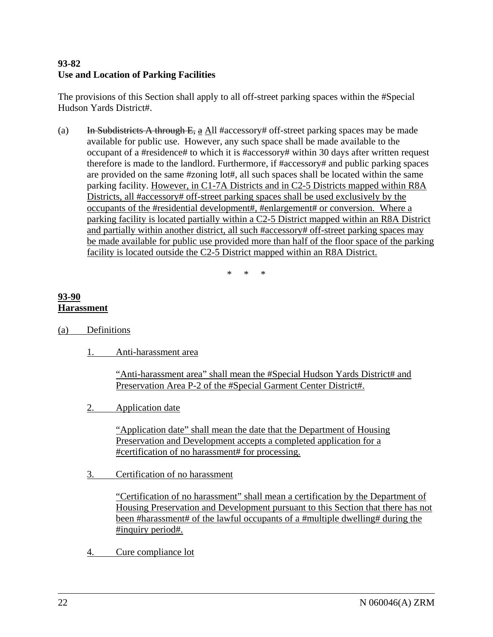# **93-82 Use and Location of Parking Facilities**

The provisions of this Section shall apply to all off-street parking spaces within the #Special Hudson Yards District#.

(a) In Subdistricts A through E, a All #accessory# off-street parking spaces may be made available for public use. However, any such space shall be made available to the occupant of a #residence# to which it is #accessory# within 30 days after written request therefore is made to the landlord. Furthermore, if #accessory# and public parking spaces are provided on the same #zoning lot#, all such spaces shall be located within the same parking facility. However, in C1-7A Districts and in C2-5 Districts mapped within R8A Districts, all #accessory# off-street parking spaces shall be used exclusively by the occupants of the #residential development#, #enlargement# or conversion. Where a parking facility is located partially within a C2-5 District mapped within an R8A District and partially within another district, all such #accessory# off-street parking spaces may be made available for public use provided more than half of the floor space of the parking facility is located outside the C2-5 District mapped within an R8A District.

\* \* \*

# **93-90 Harassment**

- (a) Definitions
	- 1. Anti-harassment area

"Anti-harassment area" shall mean the #Special Hudson Yards District# and Preservation Area P-2 of the #Special Garment Center District#.

2. Application date

"Application date" shall mean the date that the Department of Housing Preservation and Development accepts a completed application for a #certification of no harassment# for processing.

3. Certification of no harassment

"Certification of no harassment" shall mean a certification by the Department of Housing Preservation and Development pursuant to this Section that there has not been #harassment# of the lawful occupants of a #multiple dwelling# during the #inquiry period#.

4. Cure compliance lot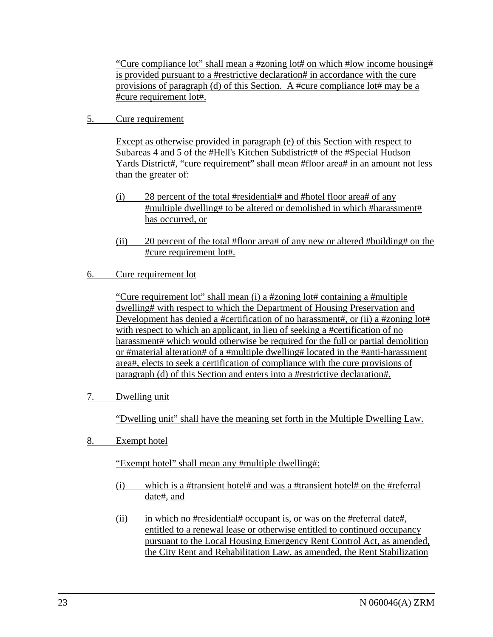"Cure compliance lot" shall mean a #zoning lot# on which #low income housing# is provided pursuant to a #restrictive declaration# in accordance with the cure provisions of paragraph (d) of this Section. A #cure compliance lot# may be a #cure requirement lot#.

5. Cure requirement

Except as otherwise provided in paragraph (e) of this Section with respect to Subareas 4 and 5 of the #Hell's Kitchen Subdistrict# of the #Special Hudson Yards District#, "cure requirement" shall mean #floor area# in an amount not less than the greater of:

- (i) 28 percent of the total #residential# and #hotel floor area# of any #multiple dwelling# to be altered or demolished in which #harassment# has occurred, or
- (ii) 20 percent of the total #floor area# of any new or altered #building# on the #cure requirement lot#.
- 6. Cure requirement lot

"Cure requirement lot" shall mean (i) a #zoning lot# containing a #multiple dwelling# with respect to which the Department of Housing Preservation and Development has denied a #certification of no harassment#, or (ii) a #zoning lot# with respect to which an applicant, in lieu of seeking a #certification of no harassment# which would otherwise be required for the full or partial demolition or #material alteration# of a #multiple dwelling# located in the #anti-harassment area#, elects to seek a certification of compliance with the cure provisions of paragraph (d) of this Section and enters into a #restrictive declaration#.

7. Dwelling unit

"Dwelling unit" shall have the meaning set forth in the Multiple Dwelling Law.

8. Exempt hotel

"Exempt hotel" shall mean any #multiple dwelling#:

- (i) which is a #transient hotel# and was a #transient hotel# on the #referral date#, and
- (ii) in which no #residential# occupant is, or was on the #referral date#, entitled to a renewal lease or otherwise entitled to continued occupancy pursuant to the Local Housing Emergency Rent Control Act, as amended, the City Rent and Rehabilitation Law, as amended, the Rent Stabilization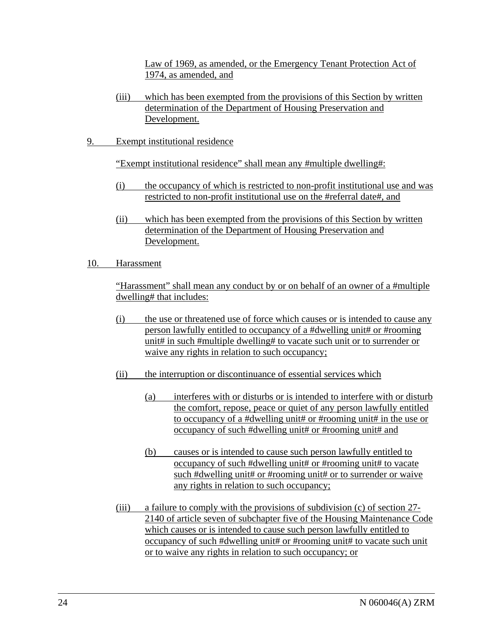Law of 1969, as amended, or the Emergency Tenant Protection Act of 1974, as amended, and

- (iii) which has been exempted from the provisions of this Section by written determination of the Department of Housing Preservation and Development.
- 9. Exempt institutional residence

"Exempt institutional residence" shall mean any #multiple dwelling#:

- (i) the occupancy of which is restricted to non-profit institutional use and was restricted to non-profit institutional use on the #referral date#, and
- (ii) which has been exempted from the provisions of this Section by written determination of the Department of Housing Preservation and Development.
- 10. Harassment

"Harassment" shall mean any conduct by or on behalf of an owner of a #multiple dwelling# that includes:

- (i) the use or threatened use of force which causes or is intended to cause any person lawfully entitled to occupancy of a #dwelling unit# or #rooming unit# in such #multiple dwelling# to vacate such unit or to surrender or waive any rights in relation to such occupancy;
- (ii) the interruption or discontinuance of essential services which
	- (a) interferes with or disturbs or is intended to interfere with or disturb the comfort, repose, peace or quiet of any person lawfully entitled to occupancy of a #dwelling unit# or #rooming unit# in the use or occupancy of such #dwelling unit# or #rooming unit# and
	- (b) causes or is intended to cause such person lawfully entitled to occupancy of such #dwelling unit# or #rooming unit# to vacate such #dwelling unit# or #rooming unit# or to surrender or waive any rights in relation to such occupancy;
- (iii) a failure to comply with the provisions of subdivision (c) of section 27- 2140 of article seven of subchapter five of the Housing Maintenance Code which causes or is intended to cause such person lawfully entitled to occupancy of such #dwelling unit# or #rooming unit# to vacate such unit or to waive any rights in relation to such occupancy; or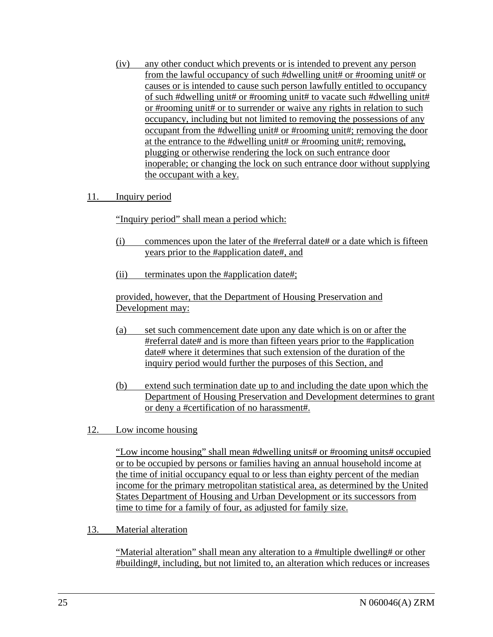(iv) any other conduct which prevents or is intended to prevent any person from the lawful occupancy of such #dwelling unit# or #rooming unit# or causes or is intended to cause such person lawfully entitled to occupancy of such #dwelling unit# or #rooming unit# to vacate such #dwelling unit# or #rooming unit# or to surrender or waive any rights in relation to such occupancy, including but not limited to removing the possessions of any occupant from the #dwelling unit# or #rooming unit#; removing the door at the entrance to the #dwelling unit# or #rooming unit#; removing, plugging or otherwise rendering the lock on such entrance door inoperable; or changing the lock on such entrance door without supplying the occupant with a key.

## 11. Inquiry period

"Inquiry period" shall mean a period which:

- (i) commences upon the later of the #referral date# or a date which is fifteen years prior to the #application date#, and
- (ii) terminates upon the #application date#;

provided, however, that the Department of Housing Preservation and Development may:

- (a) set such commencement date upon any date which is on or after the #referral date# and is more than fifteen years prior to the #application date# where it determines that such extension of the duration of the inquiry period would further the purposes of this Section, and
- (b) extend such termination date up to and including the date upon which the Department of Housing Preservation and Development determines to grant or deny a #certification of no harassment#.
- 12. Low income housing

"Low income housing" shall mean #dwelling units# or #rooming units# occupied or to be occupied by persons or families having an annual household income at the time of initial occupancy equal to or less than eighty percent of the median income for the primary metropolitan statistical area, as determined by the United States Department of Housing and Urban Development or its successors from time to time for a family of four, as adjusted for family size.

13. Material alteration

"Material alteration" shall mean any alteration to a #multiple dwelling# or other #building#, including, but not limited to, an alteration which reduces or increases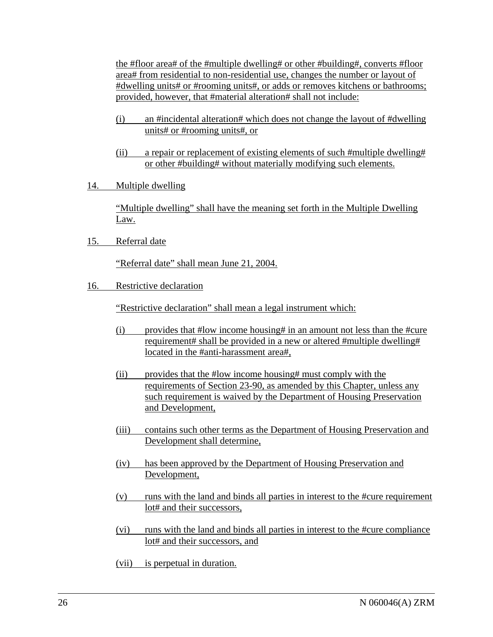the #floor area# of the #multiple dwelling# or other #building#, converts #floor area# from residential to non-residential use, changes the number or layout of #dwelling units# or #rooming units#, or adds or removes kitchens or bathrooms; provided, however, that #material alteration# shall not include:

- (i) an #incidental alteration# which does not change the layout of #dwelling units# or #rooming units#, or
- (ii) a repair or replacement of existing elements of such #multiple dwelling# or other #building# without materially modifying such elements.
- 14. Multiple dwelling

"Multiple dwelling" shall have the meaning set forth in the Multiple Dwelling Law.

15. Referral date

"Referral date" shall mean June 21, 2004.

16. Restrictive declaration

"Restrictive declaration" shall mean a legal instrument which:

- (i) provides that #low income housing# in an amount not less than the #cure requirement# shall be provided in a new or altered #multiple dwelling# located in the #anti-harassment area#,
- (ii) provides that the #low income housing# must comply with the requirements of Section 23-90, as amended by this Chapter, unless any such requirement is waived by the Department of Housing Preservation and Development,
- (iii) contains such other terms as the Department of Housing Preservation and Development shall determine,
- (iv) has been approved by the Department of Housing Preservation and Development,
- (v) runs with the land and binds all parties in interest to the #cure requirement lot# and their successors,
- (vi) runs with the land and binds all parties in interest to the #cure compliance lot# and their successors, and
- (vii) is perpetual in duration.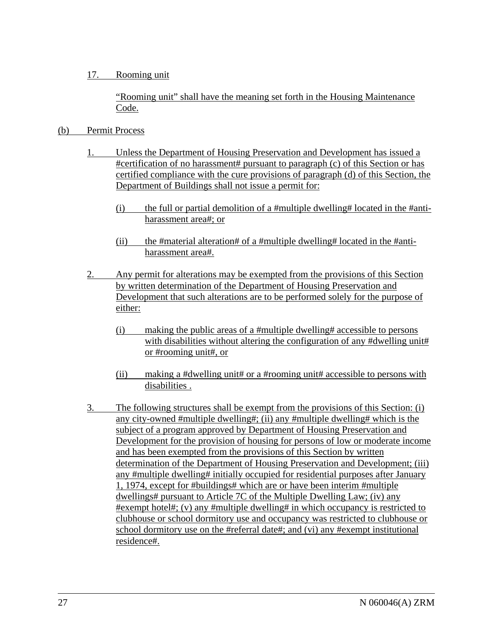## 17. Rooming unit

"Rooming unit" shall have the meaning set forth in the Housing Maintenance Code.

# (b) Permit Process

- 1. Unless the Department of Housing Preservation and Development has issued a #certification of no harassment# pursuant to paragraph (c) of this Section or has certified compliance with the cure provisions of paragraph (d) of this Section, the Department of Buildings shall not issue a permit for:
	- (i) the full or partial demolition of a #multiple dwelling# located in the #antiharassment area#; or
	- (ii) the #material alteration# of a #multiple dwelling# located in the #antiharassment area#.
- 2. Any permit for alterations may be exempted from the provisions of this Section by written determination of the Department of Housing Preservation and Development that such alterations are to be performed solely for the purpose of either:
	- (i) making the public areas of a #multiple dwelling# accessible to persons with disabilities without altering the configuration of any #dwelling unit# or #rooming unit#, or
	- (ii) making a #dwelling unit# or a #rooming unit# accessible to persons with disabilities .
- 3. The following structures shall be exempt from the provisions of this Section: (i) any city-owned #multiple dwelling#; (ii) any #multiple dwelling# which is the subject of a program approved by Department of Housing Preservation and Development for the provision of housing for persons of low or moderate income and has been exempted from the provisions of this Section by written determination of the Department of Housing Preservation and Development; (iii) any #multiple dwelling# initially occupied for residential purposes after January 1, 1974, except for #buildings# which are or have been interim #multiple dwellings# pursuant to Article 7C of the Multiple Dwelling Law; (iv) any #exempt hotel#; (v) any #multiple dwelling# in which occupancy is restricted to clubhouse or school dormitory use and occupancy was restricted to clubhouse or school dormitory use on the #referral date#; and (vi) any #exempt institutional residence#.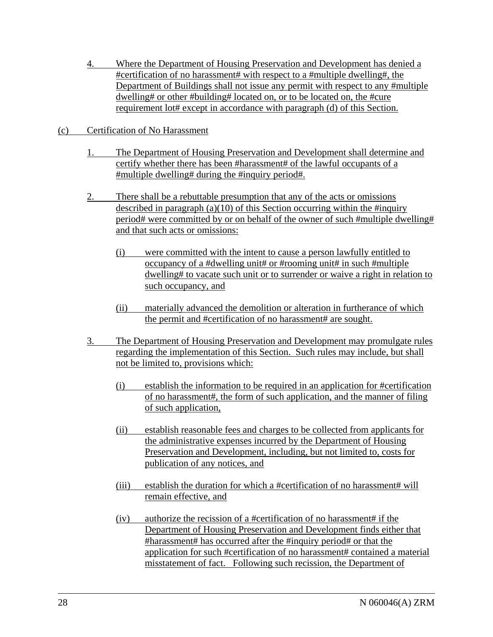- 4. Where the Department of Housing Preservation and Development has denied a #certification of no harassment# with respect to a #multiple dwelling#, the Department of Buildings shall not issue any permit with respect to any #multiple dwelling# or other #building# located on, or to be located on, the #cure requirement lot# except in accordance with paragraph (d) of this Section.
- (c) Certification of No Harassment
	- 1. The Department of Housing Preservation and Development shall determine and certify whether there has been #harassment# of the lawful occupants of a #multiple dwelling# during the #inquiry period#.
	- 2. There shall be a rebuttable presumption that any of the acts or omissions described in paragraph  $(a)(10)$  of this Section occurring within the #inquiry period# were committed by or on behalf of the owner of such #multiple dwelling# and that such acts or omissions:
		- (i) were committed with the intent to cause a person lawfully entitled to occupancy of a #dwelling unit# or #rooming unit# in such #multiple dwelling# to vacate such unit or to surrender or waive a right in relation to such occupancy, and
		- (ii) materially advanced the demolition or alteration in furtherance of which the permit and #certification of no harassment# are sought.
	- 3. The Department of Housing Preservation and Development may promulgate rules regarding the implementation of this Section. Such rules may include, but shall not be limited to, provisions which:
		- (i) establish the information to be required in an application for #certification of no harassment#, the form of such application, and the manner of filing of such application,
		- (ii) establish reasonable fees and charges to be collected from applicants for the administrative expenses incurred by the Department of Housing Preservation and Development, including, but not limited to, costs for publication of any notices, and
		- (iii) establish the duration for which a #certification of no harassment# will remain effective, and
		- (iv) authorize the recission of a #certification of no harassment# if the Department of Housing Preservation and Development finds either that #harassment# has occurred after the #inquiry period# or that the application for such #certification of no harassment# contained a material misstatement of fact. Following such recission, the Department of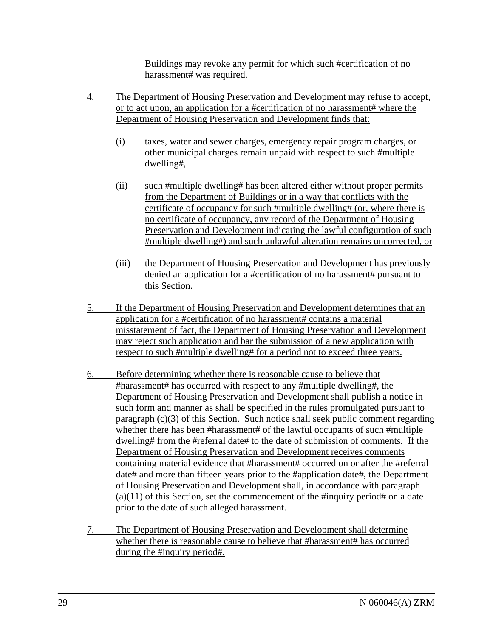Buildings may revoke any permit for which such #certification of no harassment# was required.

- 4. The Department of Housing Preservation and Development may refuse to accept, or to act upon, an application for a #certification of no harassment# where the Department of Housing Preservation and Development finds that:
	- (i) taxes, water and sewer charges, emergency repair program charges, or other municipal charges remain unpaid with respect to such #multiple dwelling#,
	- (ii) such #multiple dwelling# has been altered either without proper permits from the Department of Buildings or in a way that conflicts with the certificate of occupancy for such #multiple dwelling# (or, where there is no certificate of occupancy, any record of the Department of Housing Preservation and Development indicating the lawful configuration of such #multiple dwelling#) and such unlawful alteration remains uncorrected, or
	- (iii) the Department of Housing Preservation and Development has previously denied an application for a #certification of no harassment# pursuant to this Section.
- 5. If the Department of Housing Preservation and Development determines that an application for a #certification of no harassment# contains a material misstatement of fact, the Department of Housing Preservation and Development may reject such application and bar the submission of a new application with respect to such #multiple dwelling# for a period not to exceed three years.
- 6. Before determining whether there is reasonable cause to believe that #harassment# has occurred with respect to any #multiple dwelling#, the Department of Housing Preservation and Development shall publish a notice in such form and manner as shall be specified in the rules promulgated pursuant to paragraph (c)(3) of this Section. Such notice shall seek public comment regarding whether there has been #harassment# of the lawful occupants of such #multiple dwelling# from the #referral date# to the date of submission of comments. If the Department of Housing Preservation and Development receives comments containing material evidence that #harassment# occurred on or after the #referral date# and more than fifteen years prior to the #application date#, the Department of Housing Preservation and Development shall, in accordance with paragraph  $(a)(11)$  of this Section, set the commencement of the #inquiry period# on a date prior to the date of such alleged harassment.
- 7. The Department of Housing Preservation and Development shall determine whether there is reasonable cause to believe that #harassment# has occurred during the #inquiry period#.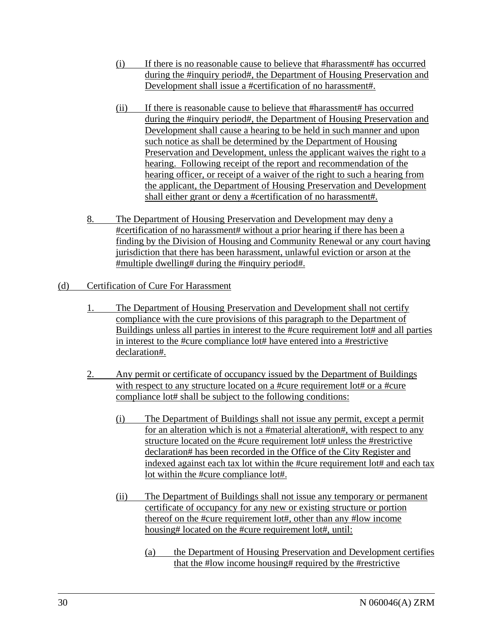- (i) If there is no reasonable cause to believe that #harassment# has occurred during the #inquiry period#, the Department of Housing Preservation and Development shall issue a #certification of no harassment#.
- (ii) If there is reasonable cause to believe that #harassment# has occurred during the #inquiry period#, the Department of Housing Preservation and Development shall cause a hearing to be held in such manner and upon such notice as shall be determined by the Department of Housing Preservation and Development, unless the applicant waives the right to a hearing. Following receipt of the report and recommendation of the hearing officer, or receipt of a waiver of the right to such a hearing from the applicant, the Department of Housing Preservation and Development shall either grant or deny a #certification of no harassment#.
- 8. The Department of Housing Preservation and Development may deny a #certification of no harassment# without a prior hearing if there has been a finding by the Division of Housing and Community Renewal or any court having jurisdiction that there has been harassment, unlawful eviction or arson at the #multiple dwelling# during the #inquiry period#.
- (d) Certification of Cure For Harassment
	- 1. The Department of Housing Preservation and Development shall not certify compliance with the cure provisions of this paragraph to the Department of Buildings unless all parties in interest to the #cure requirement lot# and all parties in interest to the #cure compliance lot# have entered into a #restrictive declaration#.
	- 2. Any permit or certificate of occupancy issued by the Department of Buildings with respect to any structure located on a #cure requirement lot# or a #cure compliance lot# shall be subject to the following conditions:
		- (i) The Department of Buildings shall not issue any permit, except a permit for an alteration which is not a #material alteration#, with respect to any structure located on the #cure requirement lot# unless the #restrictive declaration# has been recorded in the Office of the City Register and indexed against each tax lot within the #cure requirement lot# and each tax lot within the #cure compliance lot#.
		- (ii) The Department of Buildings shall not issue any temporary or permanent certificate of occupancy for any new or existing structure or portion thereof on the #cure requirement lot#, other than any #low income housing# located on the #cure requirement lot#, until:
			- (a) the Department of Housing Preservation and Development certifies that the #low income housing# required by the #restrictive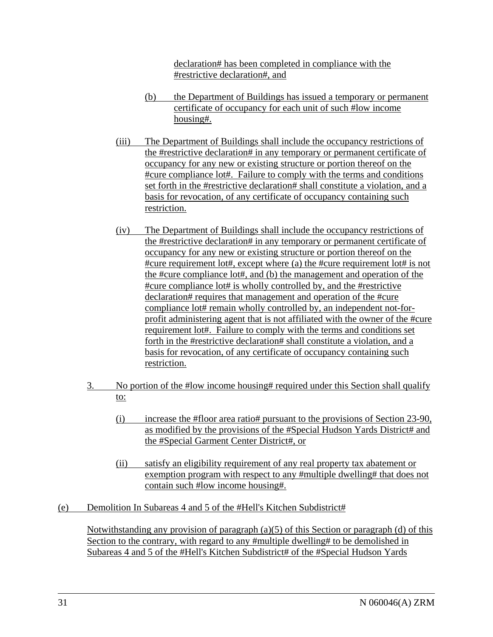declaration# has been completed in compliance with the #restrictive declaration#, and

- (b) the Department of Buildings has issued a temporary or permanent certificate of occupancy for each unit of such #low income housing#.
- (iii) The Department of Buildings shall include the occupancy restrictions of the #restrictive declaration# in any temporary or permanent certificate of occupancy for any new or existing structure or portion thereof on the #cure compliance lot#. Failure to comply with the terms and conditions set forth in the #restrictive declaration# shall constitute a violation, and a basis for revocation, of any certificate of occupancy containing such restriction.
- (iv) The Department of Buildings shall include the occupancy restrictions of the #restrictive declaration# in any temporary or permanent certificate of occupancy for any new or existing structure or portion thereof on the #cure requirement lot#, except where (a) the #cure requirement lot# is not the #cure compliance lot#, and (b) the management and operation of the #cure compliance lot# is wholly controlled by, and the #restrictive declaration# requires that management and operation of the #cure compliance lot# remain wholly controlled by, an independent not-forprofit administering agent that is not affiliated with the owner of the #cure requirement lot#. Failure to comply with the terms and conditions set forth in the #restrictive declaration# shall constitute a violation, and a basis for revocation, of any certificate of occupancy containing such restriction.
- 3. No portion of the #low income housing# required under this Section shall qualify to:
	- (i) increase the #floor area ratio# pursuant to the provisions of Section 23-90, as modified by the provisions of the #Special Hudson Yards District# and the #Special Garment Center District#, or
	- (ii) satisfy an eligibility requirement of any real property tax abatement or exemption program with respect to any #multiple dwelling# that does not contain such #low income housing#.
- (e) Demolition In Subareas 4 and 5 of the #Hell's Kitchen Subdistrict#

Notwithstanding any provision of paragraph (a)(5) of this Section or paragraph (d) of this Section to the contrary, with regard to any #multiple dwelling# to be demolished in Subareas 4 and 5 of the #Hell's Kitchen Subdistrict# of the #Special Hudson Yards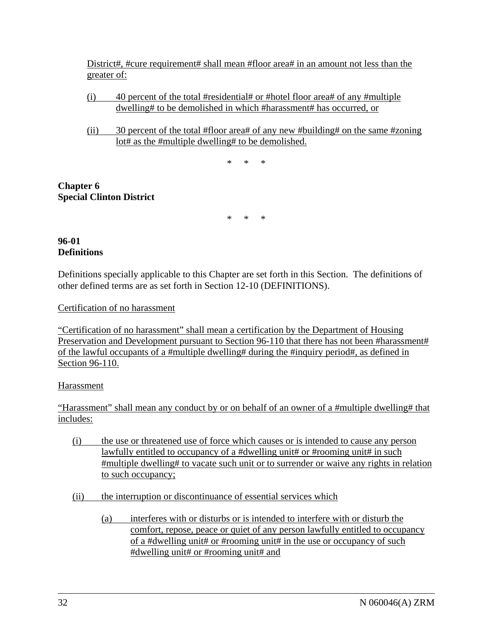District#, #cure requirement# shall mean #floor area# in an amount not less than the greater of:

- (i) 40 percent of the total #residential# or #hotel floor area# of any #multiple dwelling# to be demolished in which #harassment# has occurred, or
- (ii) 30 percent of the total #floor area# of any new #building# on the same #zoning lot# as the #multiple dwelling# to be demolished.

\* \* \*

# **Chapter 6 Special Clinton District**

\* \* \*

## **96-01 Definitions**

Definitions specially applicable to this Chapter are set forth in this Section. The definitions of other defined terms are as set forth in Section 12-10 (DEFINITIONS).

# Certification of no harassment

"Certification of no harassment" shall mean a certification by the Department of Housing Preservation and Development pursuant to Section 96-110 that there has not been #harassment# of the lawful occupants of a #multiple dwelling# during the #inquiry period#, as defined in Section 96-110.

# Harassment

"Harassment" shall mean any conduct by or on behalf of an owner of a #multiple dwelling# that includes:

- (i) the use or threatened use of force which causes or is intended to cause any person lawfully entitled to occupancy of a #dwelling unit# or #rooming unit# in such #multiple dwelling# to vacate such unit or to surrender or waive any rights in relation to such occupancy;
- (ii) the interruption or discontinuance of essential services which
	- (a) interferes with or disturbs or is intended to interfere with or disturb the comfort, repose, peace or quiet of any person lawfully entitled to occupancy of a #dwelling unit# or #rooming unit# in the use or occupancy of such #dwelling unit# or #rooming unit# and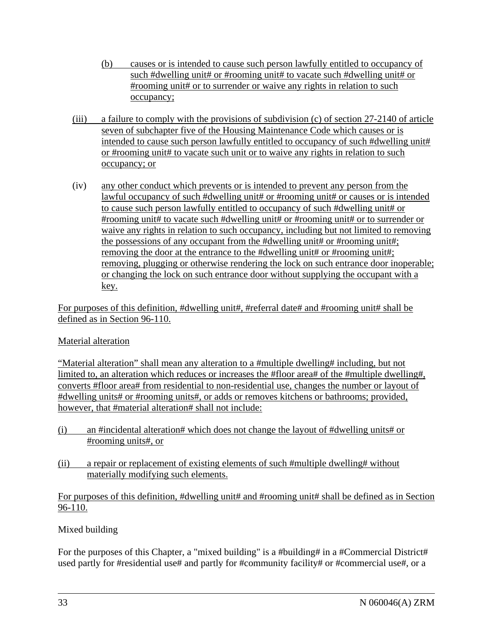- (b) causes or is intended to cause such person lawfully entitled to occupancy of such #dwelling unit# or #rooming unit# to vacate such #dwelling unit# or #rooming unit# or to surrender or waive any rights in relation to such occupancy;
- (iii) a failure to comply with the provisions of subdivision (c) of section 27-2140 of article seven of subchapter five of the Housing Maintenance Code which causes or is intended to cause such person lawfully entitled to occupancy of such #dwelling unit# or #rooming unit# to vacate such unit or to waive any rights in relation to such occupancy; or
- (iv) any other conduct which prevents or is intended to prevent any person from the lawful occupancy of such #dwelling unit# or #rooming unit# or causes or is intended to cause such person lawfully entitled to occupancy of such #dwelling unit# or #rooming unit# to vacate such #dwelling unit# or #rooming unit# or to surrender or waive any rights in relation to such occupancy, including but not limited to removing the possessions of any occupant from the #dwelling unit# or #rooming unit#; removing the door at the entrance to the #dwelling unit# or #rooming unit#; removing, plugging or otherwise rendering the lock on such entrance door inoperable; or changing the lock on such entrance door without supplying the occupant with a key.

For purposes of this definition, #dwelling unit#, #referral date# and #rooming unit# shall be defined as in Section 96-110.

# Material alteration

"Material alteration" shall mean any alteration to a #multiple dwelling# including, but not limited to, an alteration which reduces or increases the #floor area# of the #multiple dwelling#, converts #floor area# from residential to non-residential use, changes the number or layout of #dwelling units# or #rooming units#, or adds or removes kitchens or bathrooms; provided, however, that #material alteration# shall not include:

- (i) an #incidental alteration# which does not change the layout of #dwelling units# or #rooming units#, or
- (ii) a repair or replacement of existing elements of such #multiple dwelling# without materially modifying such elements.

For purposes of this definition, #dwelling unit# and #rooming unit# shall be defined as in Section 96-110.

# Mixed building

For the purposes of this Chapter, a "mixed building" is a #building# in a #Commercial District# used partly for #residential use# and partly for #community facility# or #commercial use#, or a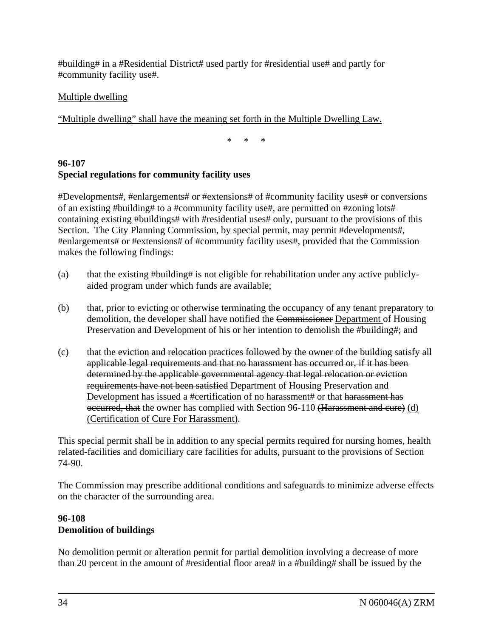#building# in a #Residential District# used partly for #residential use# and partly for #community facility use#.

# Multiple dwelling

"Multiple dwelling" shall have the meaning set forth in the Multiple Dwelling Law.

\* \* \*

# **96-107 Special regulations for community facility uses**

#Developments#, #enlargements# or #extensions# of #community facility uses# or conversions of an existing #building# to a #community facility use#, are permitted on #zoning lots# containing existing #buildings# with #residential uses# only, pursuant to the provisions of this Section. The City Planning Commission, by special permit, may permit #developments#, #enlargements# or #extensions# of #community facility uses#, provided that the Commission makes the following findings:

- (a) that the existing #building# is not eligible for rehabilitation under any active publiclyaided program under which funds are available;
- (b) that, prior to evicting or otherwise terminating the occupancy of any tenant preparatory to demolition, the developer shall have notified the Commissioner Department of Housing Preservation and Development of his or her intention to demolish the #building#; and
- $(c)$  that the eviction and relocation practices followed by the owner of the building satisfy all applicable legal requirements and that no harassment has occurred or, if it has been determined by the applicable governmental agency that legal relocation or eviction requirements have not been satisfied Department of Housing Preservation and Development has issued a #certification of no harassment# or that harassment has occurred, that the owner has complied with Section 96-110 (Harassment and cure) (d) (Certification of Cure For Harassment).

This special permit shall be in addition to any special permits required for nursing homes, health related-facilities and domiciliary care facilities for adults, pursuant to the provisions of Section 74-90.

The Commission may prescribe additional conditions and safeguards to minimize adverse effects on the character of the surrounding area.

# **96-108 Demolition of buildings**

No demolition permit or alteration permit for partial demolition involving a decrease of more than 20 percent in the amount of #residential floor area# in a #building# shall be issued by the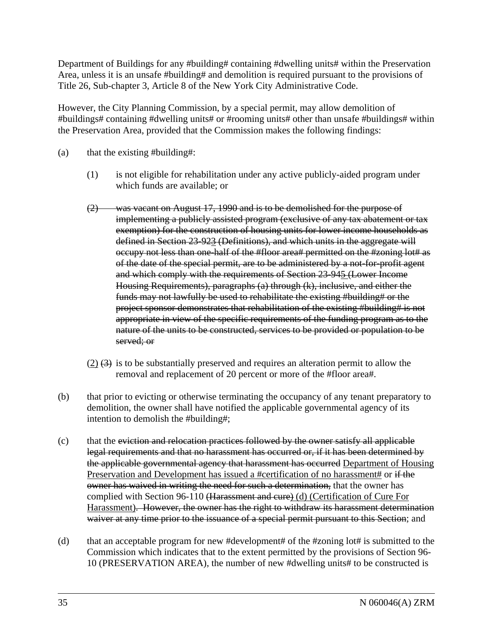Department of Buildings for any #building# containing #dwelling units# within the Preservation Area, unless it is an unsafe #building# and demolition is required pursuant to the provisions of Title 26, Sub-chapter 3, Article 8 of the New York City Administrative Code.

However, the City Planning Commission, by a special permit, may allow demolition of #buildings# containing #dwelling units# or #rooming units# other than unsafe #buildings# within the Preservation Area, provided that the Commission makes the following findings:

- (a) that the existing #building#:
	- (1) is not eligible for rehabilitation under any active publicly-aided program under which funds are available; or
	- (2) was vacant on August 17, 1990 and is to be demolished for the purpose of implementing a publicly assisted program (exclusive of any tax abatement or tax exemption) for the construction of housing units for lower income households as defined in Section 23-923 (Definitions), and which units in the aggregate will occupy not less than one-half of the #floor area# permitted on the #zoning lot# as of the date of the special permit, are to be administered by a not-for-profit agent and which comply with the requirements of Section 23-945 (Lower Income Housing Requirements), paragraphs (a) through (k), inclusive, and either the funds may not lawfully be used to rehabilitate the existing #building# or the project sponsor demonstrates that rehabilitation of the existing #building# is not appropriate in view of the specific requirements of the funding program as to the nature of the units to be constructed, services to be provided or population to be served; or
	- $(2)$   $(3)$  is to be substantially preserved and requires an alteration permit to allow the removal and replacement of 20 percent or more of the #floor area#.
- (b) that prior to evicting or otherwise terminating the occupancy of any tenant preparatory to demolition, the owner shall have notified the applicable governmental agency of its intention to demolish the #building#;
- (c) that the eviction and relocation practices followed by the owner satisfy all applicable legal requirements and that no harassment has occurred or, if it has been determined by the applicable governmental agency that harassment has occurred Department of Housing Preservation and Development has issued a #certification of no harassment# or if the owner has waived in writing the need for such a determination, that the owner has complied with Section 96-110 (Harassment and cure) (d) (Certification of Cure For Harassment). However, the owner has the right to withdraw its harassment determination waiver at any time prior to the issuance of a special permit pursuant to this Section; and
- (d) that an acceptable program for new #development# of the #zoning lot# is submitted to the Commission which indicates that to the extent permitted by the provisions of Section 96- 10 (PRESERVATION AREA), the number of new #dwelling units# to be constructed is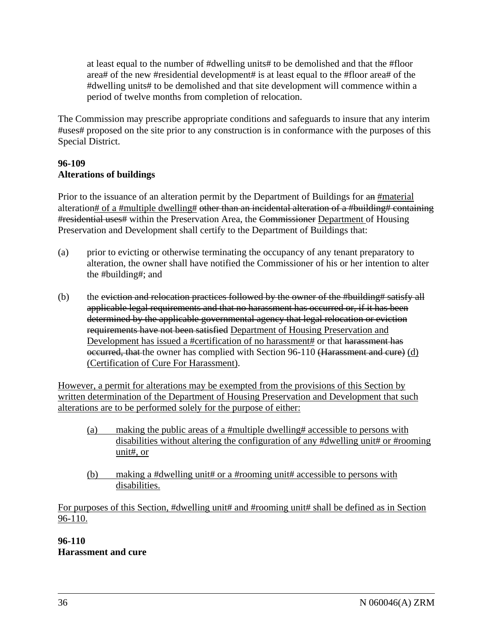at least equal to the number of #dwelling units# to be demolished and that the #floor area# of the new #residential development# is at least equal to the #floor area# of the #dwelling units# to be demolished and that site development will commence within a period of twelve months from completion of relocation.

The Commission may prescribe appropriate conditions and safeguards to insure that any interim #uses# proposed on the site prior to any construction is in conformance with the purposes of this Special District.

# **96-109 Alterations of buildings**

Prior to the issuance of an alteration permit by the Department of Buildings for an #material alteration# of a #multiple dwelling# other than an incidental alteration of a #building# containing #residential uses# within the Preservation Area, the Commissioner Department of Housing Preservation and Development shall certify to the Department of Buildings that:

- (a) prior to evicting or otherwise terminating the occupancy of any tenant preparatory to alteration, the owner shall have notified the Commissioner of his or her intention to alter the #building#; and
- (b) the eviction and relocation practices followed by the owner of the #building# satisfy all applicable legal requirements and that no harassment has occurred or, if it has been determined by the applicable governmental agency that legal relocation or eviction requirements have not been satisfied Department of Housing Preservation and Development has issued a #certification of no harassment# or that harassment has occurred, that the owner has complied with Section 96-110 (Harassment and cure) (d) (Certification of Cure For Harassment).

However, a permit for alterations may be exempted from the provisions of this Section by written determination of the Department of Housing Preservation and Development that such alterations are to be performed solely for the purpose of either:

- (a) making the public areas of a #multiple dwelling# accessible to persons with disabilities without altering the configuration of any #dwelling unit# or #rooming unit#, or
- (b) making a #dwelling unit# or a #rooming unit# accessible to persons with disabilities.

For purposes of this Section, #dwelling unit# and #rooming unit# shall be defined as in Section 96-110.

## **96-110 Harassment and cure**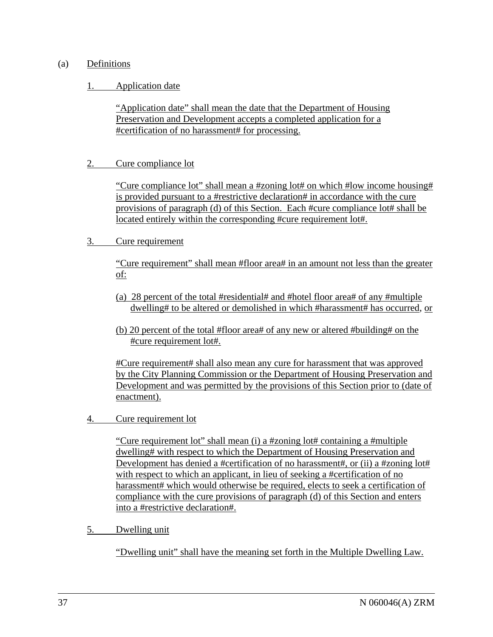## (a) Definitions

# 1. Application date

"Application date" shall mean the date that the Department of Housing Preservation and Development accepts a completed application for a #certification of no harassment# for processing.

# 2. Cure compliance lot

"Cure compliance lot" shall mean a #zoning lot# on which #low income housing# is provided pursuant to a #restrictive declaration# in accordance with the cure provisions of paragraph (d) of this Section. Each #cure compliance lot# shall be located entirely within the corresponding #cure requirement lot#.

# 3. Cure requirement

"Cure requirement" shall mean #floor area# in an amount not less than the greater of:

- (a)28 percent of the total #residential# and #hotel floor area# of any #multiple dwelling# to be altered or demolished in which #harassment# has occurred, or
- (b) 20 percent of the total #floor area# of any new or altered #building# on the #cure requirement lot#.

#Cure requirement# shall also mean any cure for harassment that was approved by the City Planning Commission or the Department of Housing Preservation and Development and was permitted by the provisions of this Section prior to (date of enactment).

4. Cure requirement lot

"Cure requirement lot" shall mean (i) a #zoning lot# containing a #multiple dwelling# with respect to which the Department of Housing Preservation and Development has denied a #certification of no harassment#, or (ii) a #zoning lot# with respect to which an applicant, in lieu of seeking a #certification of no harassment# which would otherwise be required, elects to seek a certification of compliance with the cure provisions of paragraph (d) of this Section and enters into a #restrictive declaration#.

5. Dwelling unit

"Dwelling unit" shall have the meaning set forth in the Multiple Dwelling Law.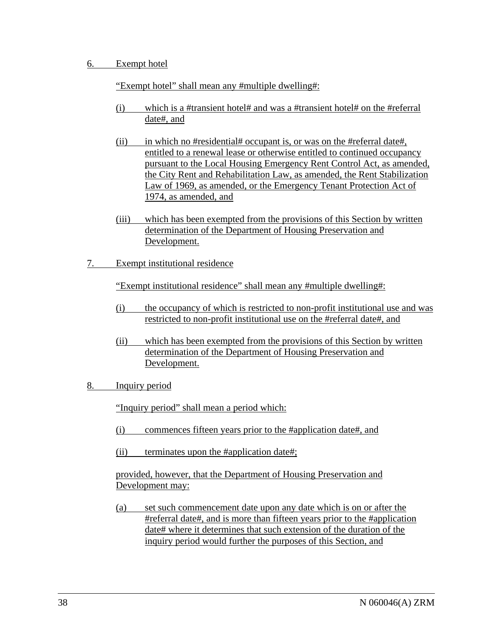#### 6. Exempt hotel

"Exempt hotel" shall mean any #multiple dwelling#:

- (i) which is a #transient hotel# and was a #transient hotel# on the #referral date#, and
- (ii) in which no #residential# occupant is, or was on the #referral date#, entitled to a renewal lease or otherwise entitled to continued occupancy pursuant to the Local Housing Emergency Rent Control Act, as amended, the City Rent and Rehabilitation Law, as amended, the Rent Stabilization Law of 1969, as amended, or the Emergency Tenant Protection Act of 1974, as amended, and
- (iii) which has been exempted from the provisions of this Section by written determination of the Department of Housing Preservation and Development.
- 7. Exempt institutional residence

"Exempt institutional residence" shall mean any #multiple dwelling#:

- (i) the occupancy of which is restricted to non-profit institutional use and was restricted to non-profit institutional use on the #referral date#, and
- (ii) which has been exempted from the provisions of this Section by written determination of the Department of Housing Preservation and Development.
- 8. Inquiry period

"Inquiry period" shall mean a period which:

- (i) commences fifteen years prior to the #application date#, and
- (ii) terminates upon the #application date#;

provided, however, that the Department of Housing Preservation and Development may:

(a) set such commencement date upon any date which is on or after the #referral date#, and is more than fifteen years prior to the #application date# where it determines that such extension of the duration of the inquiry period would further the purposes of this Section, and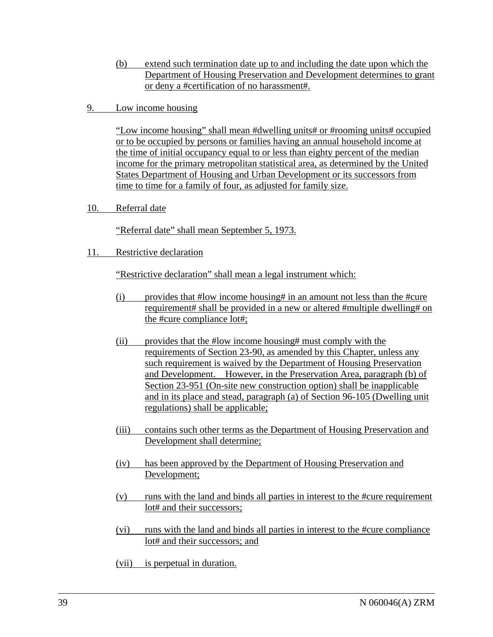- (b) extend such termination date up to and including the date upon which the Department of Housing Preservation and Development determines to grant or deny a #certification of no harassment#.
- 9. Low income housing

"Low income housing" shall mean #dwelling units# or #rooming units# occupied or to be occupied by persons or families having an annual household income at the time of initial occupancy equal to or less than eighty percent of the median income for the primary metropolitan statistical area, as determined by the United States Department of Housing and Urban Development or its successors from time to time for a family of four, as adjusted for family size.

10. Referral date

"Referral date" shall mean September 5, 1973.

11. Restrictive declaration

"Restrictive declaration" shall mean a legal instrument which:

- (i) provides that #low income housing# in an amount not less than the #cure requirement# shall be provided in a new or altered #multiple dwelling# on the #cure compliance lot#;
- (ii) provides that the #low income housing# must comply with the requirements of Section 23-90, as amended by this Chapter, unless any such requirement is waived by the Department of Housing Preservation and Development. However, in the Preservation Area, paragraph (b) of Section 23-951 (On-site new construction option) shall be inapplicable and in its place and stead, paragraph (a) of Section 96-105 (Dwelling unit regulations) shall be applicable;
- (iii) contains such other terms as the Department of Housing Preservation and Development shall determine;
- (iv) has been approved by the Department of Housing Preservation and Development;
- (v) runs with the land and binds all parties in interest to the #cure requirement lot# and their successors;
- (vi) runs with the land and binds all parties in interest to the #cure compliance lot# and their successors; and
- (vii) is perpetual in duration.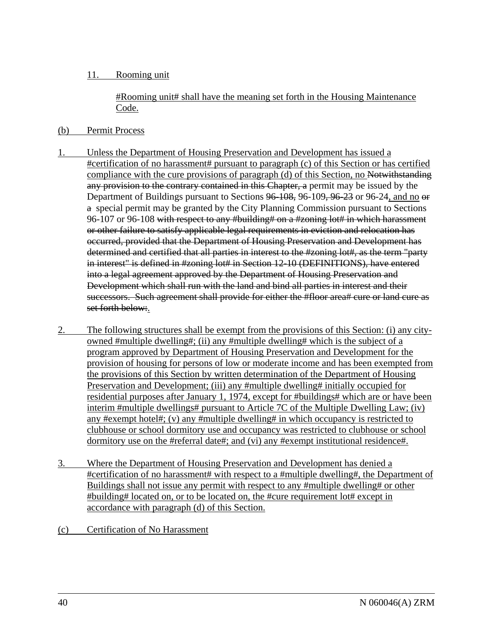## 11. Rooming unit

#Rooming unit# shall have the meaning set forth in the Housing Maintenance Code.

#### (b) Permit Process

- 1. Unless the Department of Housing Preservation and Development has issued a #certification of no harassment# pursuant to paragraph (c) of this Section or has certified compliance with the cure provisions of paragraph (d) of this Section, no Notwithstanding any provision to the contrary contained in this Chapter, a permit may be issued by the Department of Buildings pursuant to Sections 96-108, 96-109, 96-23 or 96-24, and no  $\Theta$ a special permit may be granted by the City Planning Commission pursuant to Sections 96-107 or 96-108 with respect to any #building# on a #zoning lot# in which harassment or other failure to satisfy applicable legal requirements in eviction and relocation has occurred, provided that the Department of Housing Preservation and Development has determined and certified that all parties in interest to the #zoning lot#, as the term "party in interest" is defined in #zoning lot# in Section 12-10 (DEFINITIONS), have entered into a legal agreement approved by the Department of Housing Preservation and Development which shall run with the land and bind all parties in interest and their successors. Such agreement shall provide for either the #floor area# cure or land cure as set forth below:.
- 2. The following structures shall be exempt from the provisions of this Section: (i) any cityowned #multiple dwelling#; (ii) any #multiple dwelling# which is the subject of a program approved by Department of Housing Preservation and Development for the provision of housing for persons of low or moderate income and has been exempted from the provisions of this Section by written determination of the Department of Housing Preservation and Development; (iii) any #multiple dwelling# initially occupied for residential purposes after January 1, 1974, except for #buildings# which are or have been interim #multiple dwellings# pursuant to Article 7C of the Multiple Dwelling Law; (iv) any #exempt hotel#; (v) any #multiple dwelling# in which occupancy is restricted to clubhouse or school dormitory use and occupancy was restricted to clubhouse or school dormitory use on the #referral date#; and (vi) any #exempt institutional residence#.
- 3. Where the Department of Housing Preservation and Development has denied a #certification of no harassment# with respect to a #multiple dwelling#, the Department of Buildings shall not issue any permit with respect to any #multiple dwelling# or other #building# located on, or to be located on, the #cure requirement lot# except in accordance with paragraph (d) of this Section.
- (c) Certification of No Harassment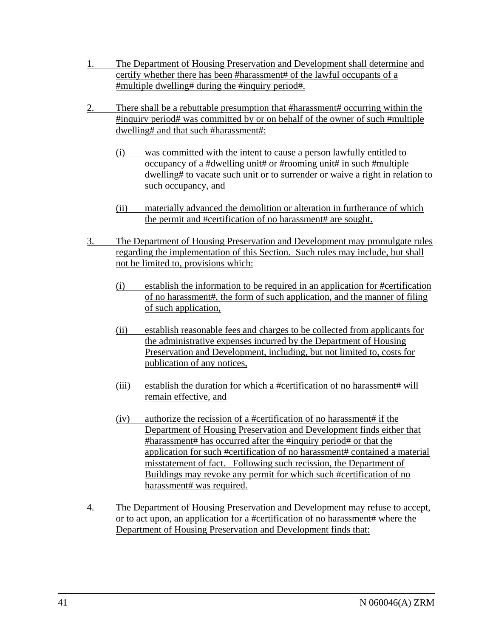- 1. The Department of Housing Preservation and Development shall determine and certify whether there has been #harassment# of the lawful occupants of a #multiple dwelling# during the #inquiry period#.
- 2. There shall be a rebuttable presumption that #harassment# occurring within the #inquiry period# was committed by or on behalf of the owner of such #multiple dwelling# and that such #harassment#:
	- (i) was committed with the intent to cause a person lawfully entitled to occupancy of a #dwelling unit# or #rooming unit# in such #multiple dwelling# to vacate such unit or to surrender or waive a right in relation to such occupancy, and
	- (ii) materially advanced the demolition or alteration in furtherance of which the permit and #certification of no harassment# are sought.
- 3. The Department of Housing Preservation and Development may promulgate rules regarding the implementation of this Section. Such rules may include, but shall not be limited to, provisions which:
	- (i) establish the information to be required in an application for #certification of no harassment#, the form of such application, and the manner of filing of such application,
	- (ii) establish reasonable fees and charges to be collected from applicants for the administrative expenses incurred by the Department of Housing Preservation and Development, including, but not limited to, costs for publication of any notices,
	- (iii) establish the duration for which a #certification of no harassment# will remain effective, and
	- (iv) authorize the recission of a #certification of no harassment# if the Department of Housing Preservation and Development finds either that #harassment# has occurred after the #inquiry period# or that the application for such #certification of no harassment# contained a material misstatement of fact. Following such recission, the Department of Buildings may revoke any permit for which such #certification of no harassment# was required.
- 4. The Department of Housing Preservation and Development may refuse to accept, or to act upon, an application for a #certification of no harassment# where the Department of Housing Preservation and Development finds that: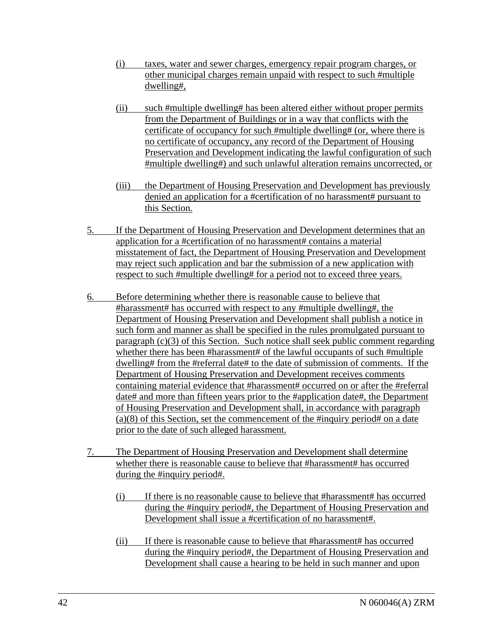- (i) taxes, water and sewer charges, emergency repair program charges, or other municipal charges remain unpaid with respect to such #multiple dwelling#,
- (ii) such #multiple dwelling# has been altered either without proper permits from the Department of Buildings or in a way that conflicts with the certificate of occupancy for such #multiple dwelling# (or, where there is no certificate of occupancy, any record of the Department of Housing Preservation and Development indicating the lawful configuration of such #multiple dwelling#) and such unlawful alteration remains uncorrected, or
- (iii) the Department of Housing Preservation and Development has previously denied an application for a #certification of no harassment# pursuant to this Section.
- 5. If the Department of Housing Preservation and Development determines that an application for a #certification of no harassment# contains a material misstatement of fact, the Department of Housing Preservation and Development may reject such application and bar the submission of a new application with respect to such #multiple dwelling# for a period not to exceed three years.
- 6. Before determining whether there is reasonable cause to believe that #harassment# has occurred with respect to any #multiple dwelling#, the Department of Housing Preservation and Development shall publish a notice in such form and manner as shall be specified in the rules promulgated pursuant to paragraph (c)(3) of this Section. Such notice shall seek public comment regarding whether there has been #harassment# of the lawful occupants of such #multiple dwelling# from the #referral date# to the date of submission of comments. If the Department of Housing Preservation and Development receives comments containing material evidence that #harassment# occurred on or after the #referral date# and more than fifteen years prior to the #application date#, the Department of Housing Preservation and Development shall, in accordance with paragraph  $(a)(8)$  of this Section, set the commencement of the #inquiry period# on a date prior to the date of such alleged harassment.
- 7. The Department of Housing Preservation and Development shall determine whether there is reasonable cause to believe that #harassment# has occurred during the #inquiry period#.
	- (i) If there is no reasonable cause to believe that #harassment# has occurred during the #inquiry period#, the Department of Housing Preservation and Development shall issue a #certification of no harassment#.
	- (ii) If there is reasonable cause to believe that #harassment# has occurred during the #inquiry period#, the Department of Housing Preservation and Development shall cause a hearing to be held in such manner and upon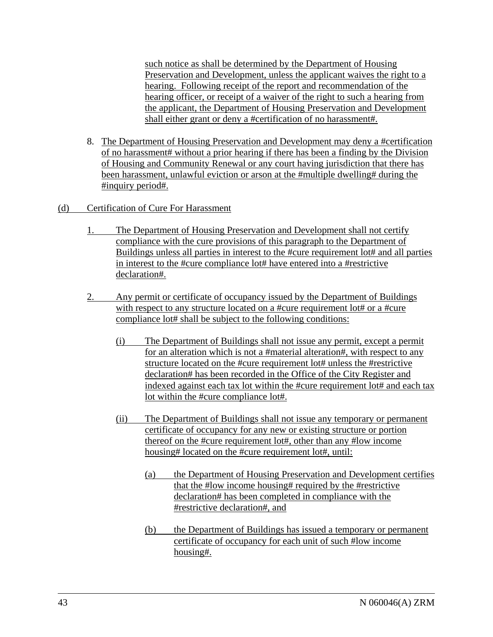such notice as shall be determined by the Department of Housing Preservation and Development, unless the applicant waives the right to a hearing. Following receipt of the report and recommendation of the hearing officer, or receipt of a waiver of the right to such a hearing from the applicant, the Department of Housing Preservation and Development shall either grant or deny a #certification of no harassment#.

- 8. The Department of Housing Preservation and Development may deny a #certification of no harassment# without a prior hearing if there has been a finding by the Division of Housing and Community Renewal or any court having jurisdiction that there has been harassment, unlawful eviction or arson at the #multiple dwelling# during the #inquiry period#.
- (d) Certification of Cure For Harassment
	- 1. The Department of Housing Preservation and Development shall not certify compliance with the cure provisions of this paragraph to the Department of Buildings unless all parties in interest to the #cure requirement lot# and all parties in interest to the #cure compliance lot# have entered into a #restrictive declaration#.
	- 2. Any permit or certificate of occupancy issued by the Department of Buildings with respect to any structure located on a #cure requirement lot# or a #cure compliance lot# shall be subject to the following conditions:
		- (i) The Department of Buildings shall not issue any permit, except a permit for an alteration which is not a #material alteration#, with respect to any structure located on the #cure requirement lot# unless the #restrictive declaration# has been recorded in the Office of the City Register and indexed against each tax lot within the #cure requirement lot# and each tax lot within the #cure compliance lot#.
		- (ii) The Department of Buildings shall not issue any temporary or permanent certificate of occupancy for any new or existing structure or portion thereof on the #cure requirement lot#, other than any #low income housing# located on the #cure requirement lot#, until:
			- (a) the Department of Housing Preservation and Development certifies that the #low income housing# required by the #restrictive declaration# has been completed in compliance with the #restrictive declaration#, and
			- (b) the Department of Buildings has issued a temporary or permanent certificate of occupancy for each unit of such #low income housing#.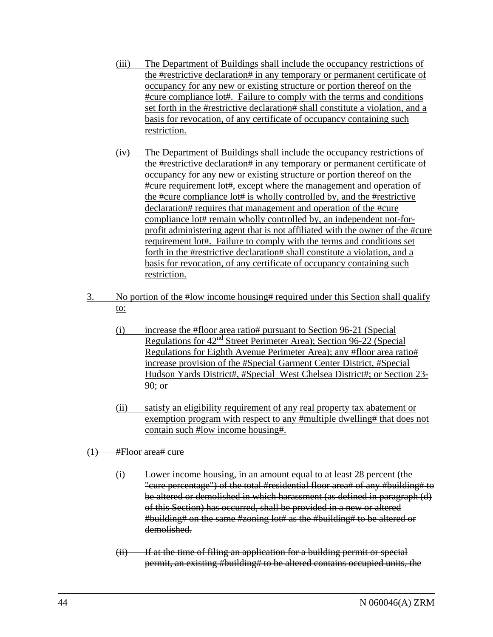- (iii) The Department of Buildings shall include the occupancy restrictions of the #restrictive declaration# in any temporary or permanent certificate of occupancy for any new or existing structure or portion thereof on the #cure compliance lot#. Failure to comply with the terms and conditions set forth in the #restrictive declaration# shall constitute a violation, and a basis for revocation, of any certificate of occupancy containing such restriction.
- (iv) The Department of Buildings shall include the occupancy restrictions of the #restrictive declaration# in any temporary or permanent certificate of occupancy for any new or existing structure or portion thereof on the #cure requirement lot#, except where the management and operation of the #cure compliance lot# is wholly controlled by, and the #restrictive declaration# requires that management and operation of the #cure compliance lot# remain wholly controlled by, an independent not-forprofit administering agent that is not affiliated with the owner of the #cure requirement lot#. Failure to comply with the terms and conditions set forth in the #restrictive declaration# shall constitute a violation, and a basis for revocation, of any certificate of occupancy containing such restriction.
- 3. No portion of the #low income housing# required under this Section shall qualify to:
	- (i) increase the #floor area ratio# pursuant to Section 96-21 (Special Regulations for 42nd Street Perimeter Area); Section 96-22 (Special Regulations for Eighth Avenue Perimeter Area); any #floor area ratio# increase provision of the #Special Garment Center District, #Special Hudson Yards District#, #Special West Chelsea District#; or Section 23- 90; or
	- (ii) satisfy an eligibility requirement of any real property tax abatement or exemption program with respect to any #multiple dwelling# that does not contain such #low income housing#.
- (1) #Floor area# cure
	- (i) Lower income housing, in an amount equal to at least 28 percent (the "cure percentage") of the total #residential floor area# of any #building# to be altered or demolished in which harassment (as defined in paragraph (d) of this Section) has occurred, shall be provided in a new or altered #building# on the same #zoning lot# as the #building# to be altered or demolished.
	- (ii) If at the time of filing an application for a building permit or special permit, an existing #building# to be altered contains occupied units, the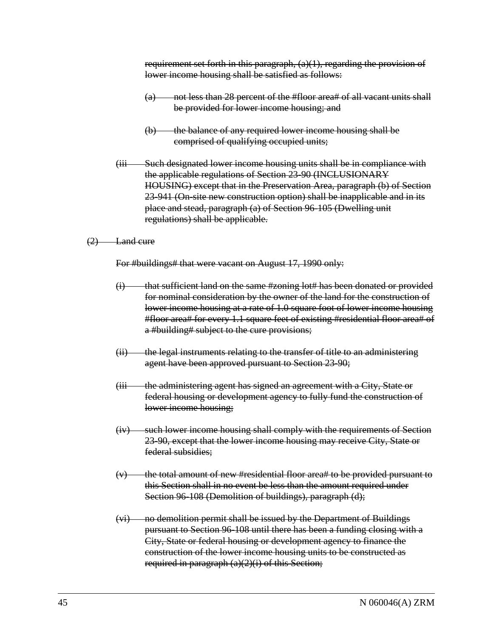requirement set forth in this paragraph,  $(a)(1)$ , regarding the provision of lower income housing shall be satisfied as follows:

- (a) not less than 28 percent of the #floor area# of all vacant units shall be provided for lower income housing; and
- (b) the balance of any required lower income housing shall be comprised of qualifying occupied units;
- (iii Such designated lower income housing units shall be in compliance with the applicable regulations of Section 23-90 (INCLUSIONARY HOUSING) except that in the Preservation Area, paragraph (b) of Section 23-941 (On-site new construction option) shall be inapplicable and in its place and stead, paragraph (a) of Section 96-105 (Dwelling unit regulations) shall be applicable.

#### (2) Land cure

For #buildings# that were vacant on August 17, 1990 only:

- that sufficient land on the same #zoning lot# has been donated or provided for nominal consideration by the owner of the land for the construction of lower income housing at a rate of 1.0 square foot of lower income housing #floor area# for every 1.1 square feet of existing #residential floor area# of a #building# subject to the cure provisions;
- (ii) the legal instruments relating to the transfer of title to an administering agent have been approved pursuant to Section 23-90;
- (iii the administering agent has signed an agreement with a City, State or federal housing or development agency to fully fund the construction of lower income housing;
- (iv) such lower income housing shall comply with the requirements of Section 23-90, except that the lower income housing may receive City, State or federal subsidies;
- $(v)$  the total amount of new #residential floor area# to be provided pursuant to this Section shall in no event be less than the amount required under Section 96-108 (Demolition of buildings), paragraph (d);
- (vi) no demolition permit shall be issued by the Department of Buildings pursuant to Section 96-108 until there has been a funding closing with a City, State or federal housing or development agency to finance the construction of the lower income housing units to be constructed as required in paragraph  $(a)(2)(i)$  of this Section;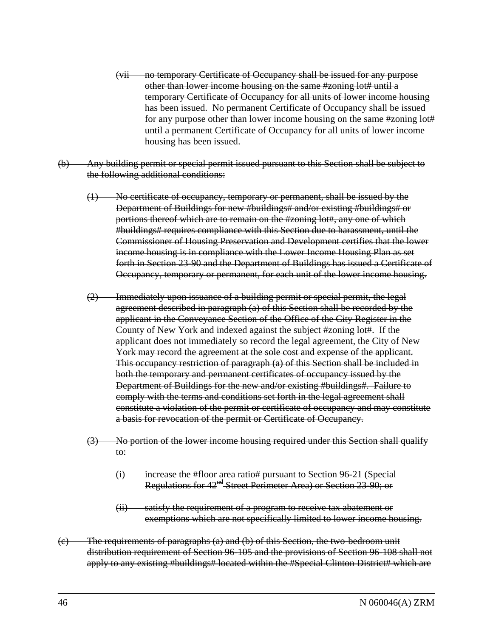- (vii no temporary Certificate of Occupancy shall be issued for any purpose other than lower income housing on the same #zoning lot# until a temporary Certificate of Occupancy for all units of lower income housing has been issued. No permanent Certificate of Occupancy shall be issued for any purpose other than lower income housing on the same #zoning lot# until a permanent Certificate of Occupancy for all units of lower income housing has been issued.
- (b) Any building permit or special permit issued pursuant to this Section shall be subject to the following additional conditions:
	- (1) No certificate of occupancy, temporary or permanent, shall be issued by the Department of Buildings for new #buildings# and/or existing #buildings# or portions thereof which are to remain on the #zoning lot#, any one of which #buildings# requires compliance with this Section due to harassment, until the Commissioner of Housing Preservation and Development certifies that the lower income housing is in compliance with the Lower Income Housing Plan as set forth in Section 23-90 and the Department of Buildings has issued a Certificate of Occupancy, temporary or permanent, for each unit of the lower income housing.
	- (2) Immediately upon issuance of a building permit or special permit, the legal agreement described in paragraph (a) of this Section shall be recorded by the applicant in the Conveyance Section of the Office of the City Register in the County of New York and indexed against the subject #zoning lot#. If the applicant does not immediately so record the legal agreement, the City of New York may record the agreement at the sole cost and expense of the applicant. This occupancy restriction of paragraph (a) of this Section shall be included in both the temporary and permanent certificates of occupancy issued by the Department of Buildings for the new and/or existing #buildings#. Failure to comply with the terms and conditions set forth in the legal agreement shall constitute a violation of the permit or certificate of occupancy and may constitute a basis for revocation of the permit or Certificate of Occupancy.
	- (3) No portion of the lower income housing required under this Section shall qualify to:
		- (i) increase the #floor area ratio# pursuant to Section 96-21 (Special Regulations for 42<sup>nd</sup> Street Perimeter Area) or Section 23-90; or
		- (ii) satisfy the requirement of a program to receive tax abatement or exemptions which are not specifically limited to lower income housing.
- (c) The requirements of paragraphs (a) and (b) of this Section, the two-bedroom unit distribution requirement of Section 96-105 and the provisions of Section 96-108 shall not apply to any existing #buildings# located within the #Special Clinton District# which are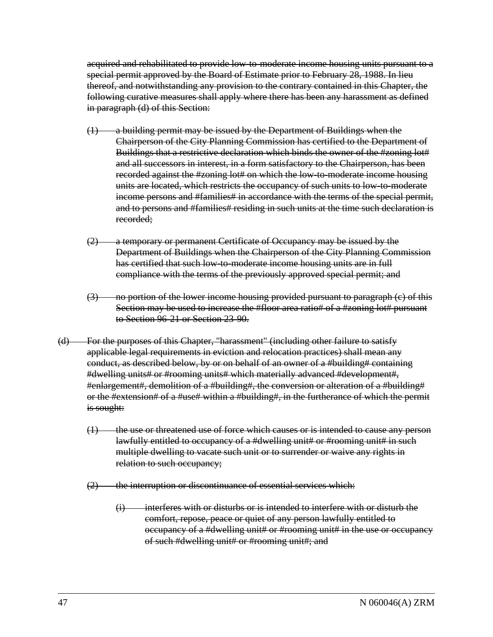acquired and rehabilitated to provide low-to-moderate income housing units pursuant to a special permit approved by the Board of Estimate prior to February 28, 1988. In lieu thereof, and notwithstanding any provision to the contrary contained in this Chapter, the following curative measures shall apply where there has been any harassment as defined in paragraph (d) of this Section:

- (1) a building permit may be issued by the Department of Buildings when the Chairperson of the City Planning Commission has certified to the Department of Buildings that a restrictive declaration which binds the owner of the #zoning lot# and all successors in interest, in a form satisfactory to the Chairperson, has been recorded against the #zoning lot# on which the low-to-moderate income housing units are located, which restricts the occupancy of such units to low-to-moderate income persons and #families# in accordance with the terms of the special permit, and to persons and #families# residing in such units at the time such declaration is recorded;
- (2) a temporary or permanent Certificate of Occupancy may be issued by the Department of Buildings when the Chairperson of the City Planning Commission has certified that such low-to-moderate income housing units are in full compliance with the terms of the previously approved special permit; and
- (3) no portion of the lower income housing provided pursuant to paragraph (c) of this Section may be used to increase the #floor area ratio# of a #zoning lot# pursuant to Section 96-21 or Section 23-90.
- (d) For the purposes of this Chapter, "harassment" (including other failure to satisfy applicable legal requirements in eviction and relocation practices) shall mean any conduct, as described below, by or on behalf of an owner of a #building# containing #dwelling units# or #rooming units# which materially advanced #development#, #enlargement#, demolition of a #building#, the conversion or alteration of a #building# or the #extension# of a #use# within a #building#, in the furtherance of which the permit is sought:
	- $(1)$  the use or threatened use of force which causes or is intended to cause any person lawfully entitled to occupancy of a #dwelling unit# or #rooming unit# in such multiple dwelling to vacate such unit or to surrender or waive any rights in relation to such occupancy;
	- $(2)$  the interruption or discontinuance of essential services which:
		- $(i)$  interferes with or disturbs or is intended to interfere with or disturb the comfort, repose, peace or quiet of any person lawfully entitled to occupancy of a #dwelling unit# or #rooming unit# in the use or occupancy of such #dwelling unit# or #rooming unit#; and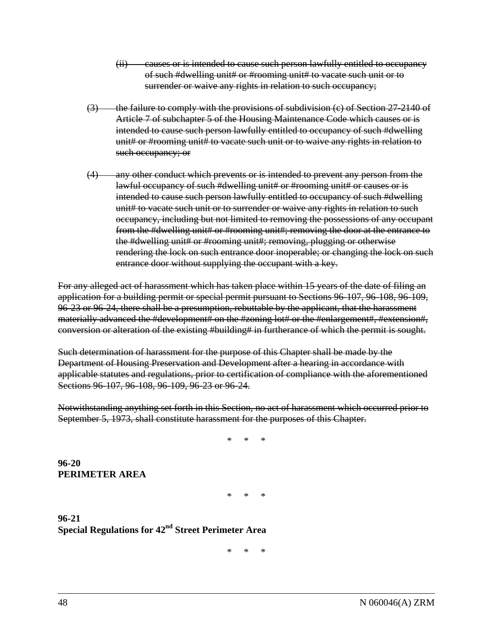- (ii) causes or is intended to cause such person lawfully entitled to occupancy of such #dwelling unit# or #rooming unit# to vacate such unit or to surrender or waive any rights in relation to such occupancy;
- $(3)$  the failure to comply with the provisions of subdivision (c) of Section 27-2140 of Article 7 of subchapter 5 of the Housing Maintenance Code which causes or is intended to cause such person lawfully entitled to occupancy of such #dwelling unit# or #rooming unit# to vacate such unit or to waive any rights in relation to such occupancy; or
- (4) any other conduct which prevents or is intended to prevent any person from the lawful occupancy of such #dwelling unit# or #rooming unit# or causes or is intended to cause such person lawfully entitled to occupancy of such #dwelling unit# to vacate such unit or to surrender or waive any rights in relation to such occupancy, including but not limited to removing the possessions of any occupant from the #dwelling unit# or #rooming unit#; removing the door at the entrance to the #dwelling unit# or #rooming unit#; removing, plugging or otherwise rendering the lock on such entrance door inoperable; or changing the lock on such entrance door without supplying the occupant with a key.

For any alleged act of harassment which has taken place within 15 years of the date of filing an application for a building permit or special permit pursuant to Sections 96-107, 96-108, 96-109, 96-23 or 96-24, there shall be a presumption, rebuttable by the applicant, that the harassment materially advanced the #development# on the #zoning lot# or the #enlargement#, #extension#, conversion or alteration of the existing #building# in furtherance of which the permit is sought.

Such determination of harassment for the purpose of this Chapter shall be made by the Department of Housing Preservation and Development after a hearing in accordance with applicable statutes and regulations, prior to certification of compliance with the aforementioned Sections 96-107, 96-108, 96-109, 96-23 or 96-24.

Notwithstanding anything set forth in this Section, no act of harassment which occurred prior to September 5, 1973, shall constitute harassment for the purposes of this Chapter.

 $\begin{array}{ccc} \ast & \ast & \ast \end{array}$ 

**96-20 PERIMETER AREA**

 $\begin{array}{ccc} \ast & \ast & \ast \end{array}$ 

**96-21 Special Regulations for 42nd Street Perimeter Area**

\* \* \*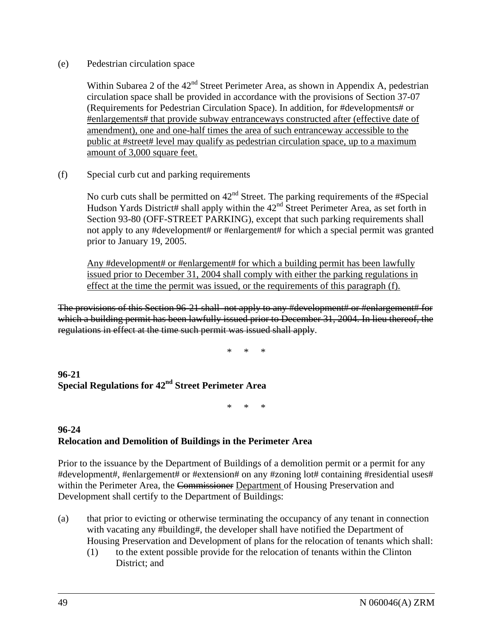(e) Pedestrian circulation space

Within Subarea 2 of the  $42<sup>nd</sup>$  Street Perimeter Area, as shown in Appendix A, pedestrian circulation space shall be provided in accordance with the provisions of Section 37-07 (Requirements for Pedestrian Circulation Space). In addition, for #developments# or #enlargements# that provide subway entranceways constructed after (effective date of amendment), one and one-half times the area of such entranceway accessible to the public at #street# level may qualify as pedestrian circulation space, up to a maximum amount of 3,000 square feet.

(f) Special curb cut and parking requirements

No curb cuts shall be permitted on  $42<sup>nd</sup>$  Street. The parking requirements of the #Special Hudson Yards District# shall apply within the  $42<sup>nd</sup>$  Street Perimeter Area, as set forth in Section 93-80 (OFF-STREET PARKING), except that such parking requirements shall not apply to any #development# or #enlargement# for which a special permit was granted prior to January 19, 2005.

Any #development# or #enlargement# for which a building permit has been lawfully issued prior to December 31, 2004 shall comply with either the parking regulations in effect at the time the permit was issued, or the requirements of this paragraph (f).

The provisions of this Section 96-21 shall not apply to any #development# or #enlargement# for which a building permit has been lawfully issued prior to December 31, 2004. In lieu thereof, the regulations in effect at the time such permit was issued shall apply.

\* \* \*

**96-21 Special Regulations for 42nd Street Perimeter Area**

\* \* \*

# **96-24 Relocation and Demolition of Buildings in the Perimeter Area**

Prior to the issuance by the Department of Buildings of a demolition permit or a permit for any #development#, #enlargement# or #extension# on any #zoning lot# containing #residential uses# within the Perimeter Area, the Commissioner Department of Housing Preservation and Development shall certify to the Department of Buildings:

- (a) that prior to evicting or otherwise terminating the occupancy of any tenant in connection with vacating any #building#, the developer shall have notified the Department of Housing Preservation and Development of plans for the relocation of tenants which shall:
	- (1) to the extent possible provide for the relocation of tenants within the Clinton District; and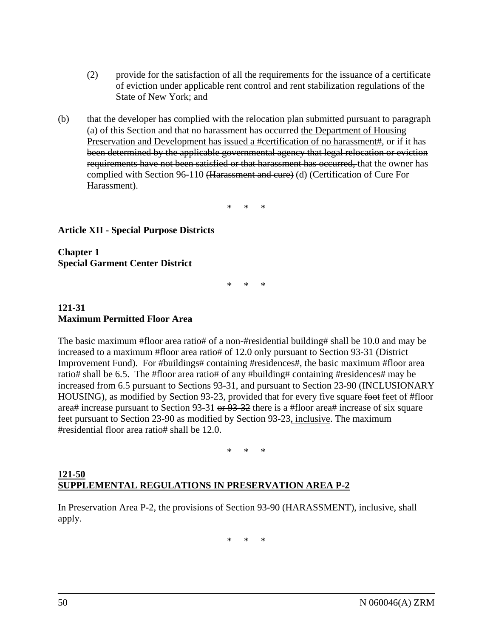- (2) provide for the satisfaction of all the requirements for the issuance of a certificate of eviction under applicable rent control and rent stabilization regulations of the State of New York; and
- (b) that the developer has complied with the relocation plan submitted pursuant to paragraph (a) of this Section and that no harassment has occurred the Department of Housing Preservation and Development has issued a #certification of no harassment#, or if it has been determined by the applicable governmental agency that legal relocation or eviction requirements have not been satisfied or that harassment has occurred, that the owner has complied with Section 96-110 (Harassment and cure) (d) (Certification of Cure For Harassment).

\* \* \*

## **Article XII - Special Purpose Districts**

**Chapter 1 Special Garment Center District**

\* \* \*

#### **121-31 Maximum Permitted Floor Area**

The basic maximum #floor area ratio# of a non-#residential building# shall be 10.0 and may be increased to a maximum #floor area ratio# of 12.0 only pursuant to Section 93-31 (District Improvement Fund). For #buildings# containing #residences#, the basic maximum #floor area ratio# shall be 6.5. The #floor area ratio# of any #building# containing #residences# may be increased from 6.5 pursuant to Sections 93-31, and pursuant to Section 23-90 (INCLUSIONARY HOUSING), as modified by Section 93-23, provided that for every five square foot feet of #floor area# increase pursuant to Section 93-31 or 93-32 there is a #floor area# increase of six square feet pursuant to Section 23-90 as modified by Section 93-23, inclusive. The maximum #residential floor area ratio# shall be 12.0.

\* \* \*

#### **121-50 SUPPLEMENTAL REGULATIONS IN PRESERVATION AREA P-2**

In Preservation Area P-2, the provisions of Section 93-90 (HARASSMENT), inclusive, shall apply.

\* \* \*